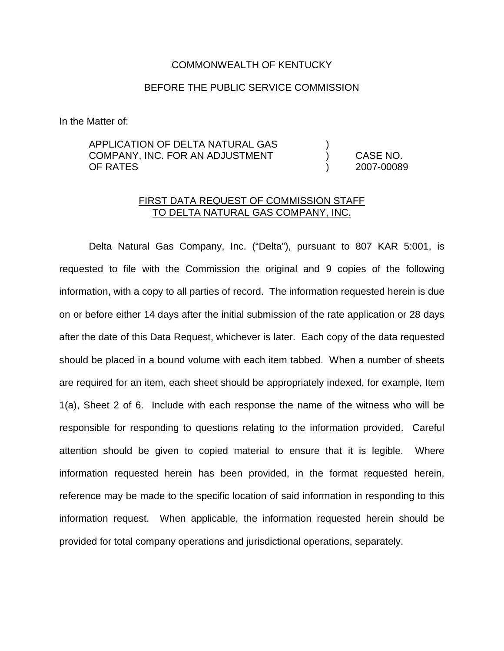### COMMONWEALTH OF KENTUCKY

## BEFORE THE PUBLIC SERVICE COMMISSION

In the Matter of:

## APPLICATION OF DELTA NATURAL GAS COMPANY, INC. FOR AN ADJUSTMENT ) CASE NO. OF RATES ) 2007-00089

## FIRST DATA REQUEST OF COMMISSION STAFF TO DELTA NATURAL GAS COMPANY, INC.

Delta Natural Gas Company, Inc. ("Delta"), pursuant to 807 KAR 5:001, is requested to file with the Commission the original and 9 copies of the following information, with a copy to all parties of record. The information requested herein is due on or before either 14 days after the initial submission of the rate application or 28 days after the date of this Data Request, whichever is later. Each copy of the data requested should be placed in a bound volume with each item tabbed. When a number of sheets are required for an item, each sheet should be appropriately indexed, for example, Item 1(a), Sheet 2 of 6. Include with each response the name of the witness who will be responsible for responding to questions relating to the information provided. Careful attention should be given to copied material to ensure that it is legible. Where information requested herein has been provided, in the format requested herein, reference may be made to the specific location of said information in responding to this information request. When applicable, the information requested herein should be provided for total company operations and jurisdictional operations, separately.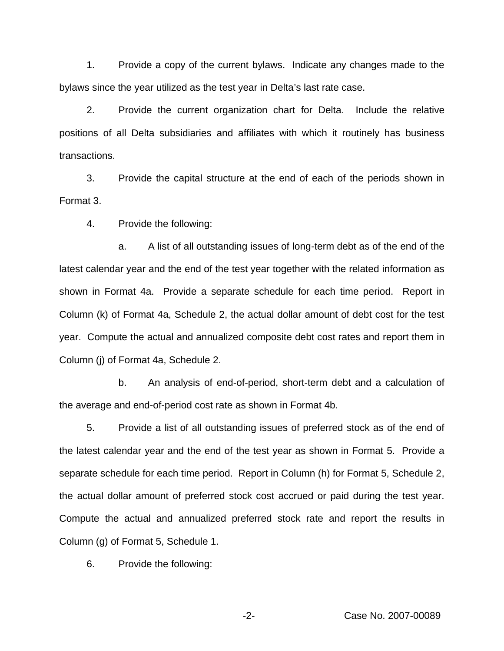1. Provide a copy of the current bylaws. Indicate any changes made to the bylaws since the year utilized as the test year in Delta's last rate case.

2. Provide the current organization chart for Delta. Include the relative positions of all Delta subsidiaries and affiliates with which it routinely has business transactions.

3. Provide the capital structure at the end of each of the periods shown in Format 3.

4. Provide the following:

a. A list of all outstanding issues of long-term debt as of the end of the latest calendar year and the end of the test year together with the related information as shown in Format 4a. Provide a separate schedule for each time period. Report in Column (k) of Format 4a, Schedule 2, the actual dollar amount of debt cost for the test year. Compute the actual and annualized composite debt cost rates and report them in Column (j) of Format 4a, Schedule 2.

b. An analysis of end-of-period, short-term debt and a calculation of the average and end-of-period cost rate as shown in Format 4b.

5. Provide a list of all outstanding issues of preferred stock as of the end of the latest calendar year and the end of the test year as shown in Format 5. Provide a separate schedule for each time period. Report in Column (h) for Format 5, Schedule 2, the actual dollar amount of preferred stock cost accrued or paid during the test year. Compute the actual and annualized preferred stock rate and report the results in Column (g) of Format 5, Schedule 1.

6. Provide the following: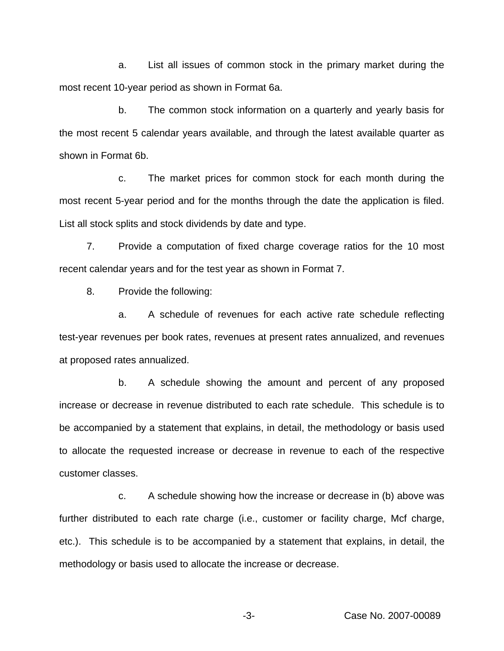a. List all issues of common stock in the primary market during the most recent 10-year period as shown in Format 6a.

b. The common stock information on a quarterly and yearly basis for the most recent 5 calendar years available, and through the latest available quarter as shown in Format 6b.

c. The market prices for common stock for each month during the most recent 5-year period and for the months through the date the application is filed. List all stock splits and stock dividends by date and type.

7. Provide a computation of fixed charge coverage ratios for the 10 most recent calendar years and for the test year as shown in Format 7.

8. Provide the following:

a. A schedule of revenues for each active rate schedule reflecting test-year revenues per book rates, revenues at present rates annualized, and revenues at proposed rates annualized.

b. A schedule showing the amount and percent of any proposed increase or decrease in revenue distributed to each rate schedule. This schedule is to be accompanied by a statement that explains, in detail, the methodology or basis used to allocate the requested increase or decrease in revenue to each of the respective customer classes.

c. A schedule showing how the increase or decrease in (b) above was further distributed to each rate charge (i.e., customer or facility charge, Mcf charge, etc.). This schedule is to be accompanied by a statement that explains, in detail, the methodology or basis used to allocate the increase or decrease.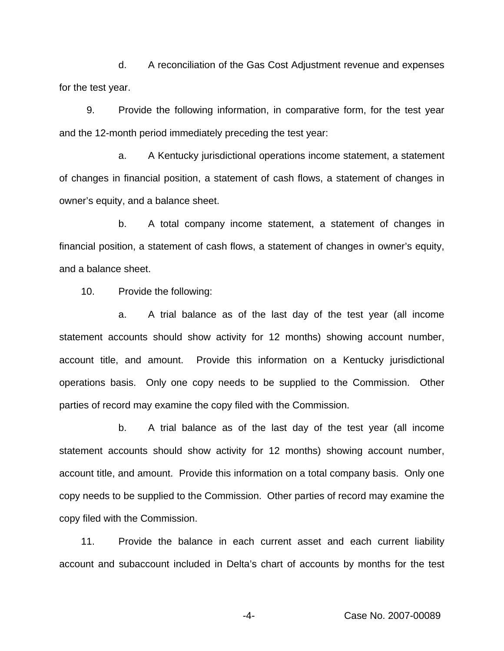d. A reconciliation of the Gas Cost Adjustment revenue and expenses for the test year.

9. Provide the following information, in comparative form, for the test year and the 12-month period immediately preceding the test year:

a. A Kentucky jurisdictional operations income statement, a statement of changes in financial position, a statement of cash flows, a statement of changes in owner's equity, and a balance sheet.

b. A total company income statement, a statement of changes in financial position, a statement of cash flows, a statement of changes in owner's equity, and a balance sheet.

10. Provide the following:

a. A trial balance as of the last day of the test year (all income statement accounts should show activity for 12 months) showing account number, account title, and amount. Provide this information on a Kentucky jurisdictional operations basis. Only one copy needs to be supplied to the Commission. Other parties of record may examine the copy filed with the Commission.

b. A trial balance as of the last day of the test year (all income statement accounts should show activity for 12 months) showing account number, account title, and amount. Provide this information on a total company basis. Only one copy needs to be supplied to the Commission. Other parties of record may examine the copy filed with the Commission.

11. Provide the balance in each current asset and each current liability account and subaccount included in Delta's chart of accounts by months for the test

-4- Case No. 2007-00089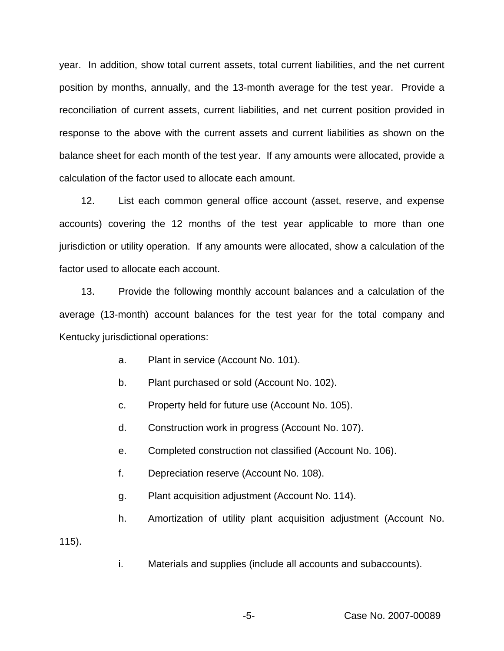year. In addition, show total current assets, total current liabilities, and the net current position by months, annually, and the 13-month average for the test year. Provide a reconciliation of current assets, current liabilities, and net current position provided in response to the above with the current assets and current liabilities as shown on the balance sheet for each month of the test year. If any amounts were allocated, provide a calculation of the factor used to allocate each amount.

12. List each common general office account (asset, reserve, and expense accounts) covering the 12 months of the test year applicable to more than one jurisdiction or utility operation. If any amounts were allocated, show a calculation of the factor used to allocate each account.

13. Provide the following monthly account balances and a calculation of the average (13-month) account balances for the test year for the total company and Kentucky jurisdictional operations:

- a. Plant in service (Account No. 101).
- b. Plant purchased or sold (Account No. 102).
- c. Property held for future use (Account No. 105).
- d. Construction work in progress (Account No. 107).
- e. Completed construction not classified (Account No. 106).
- f. Depreciation reserve (Account No. 108).
- g. Plant acquisition adjustment (Account No. 114).
- h. Amortization of utility plant acquisition adjustment (Account No.

115).

i. Materials and supplies (include all accounts and subaccounts).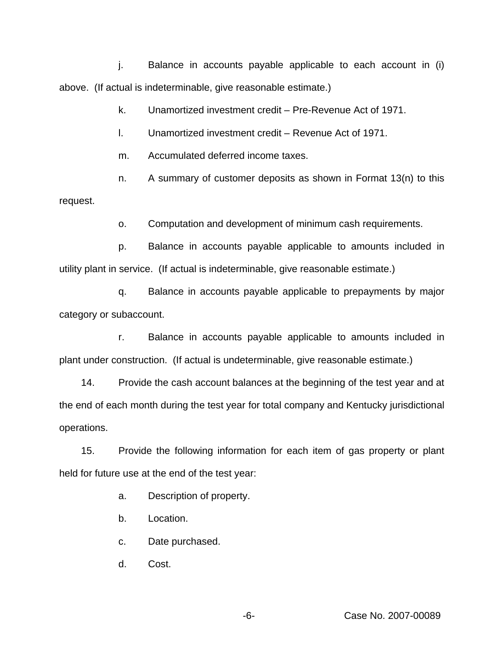j. Balance in accounts payable applicable to each account in (i) above. (If actual is indeterminable, give reasonable estimate.)

k. Unamortized investment credit – Pre-Revenue Act of 1971.

l. Unamortized investment credit – Revenue Act of 1971.

m. Accumulated deferred income taxes.

n. A summary of customer deposits as shown in Format 13(n) to this request.

o. Computation and development of minimum cash requirements.

p. Balance in accounts payable applicable to amounts included in utility plant in service. (If actual is indeterminable, give reasonable estimate.)

q. Balance in accounts payable applicable to prepayments by major category or subaccount.

r. Balance in accounts payable applicable to amounts included in plant under construction. (If actual is undeterminable, give reasonable estimate.)

14. Provide the cash account balances at the beginning of the test year and at the end of each month during the test year for total company and Kentucky jurisdictional operations.

15. Provide the following information for each item of gas property or plant held for future use at the end of the test year:

a. Description of property.

b. Location.

c. Date purchased.

d. Cost.

-6- Case No. 2007-00089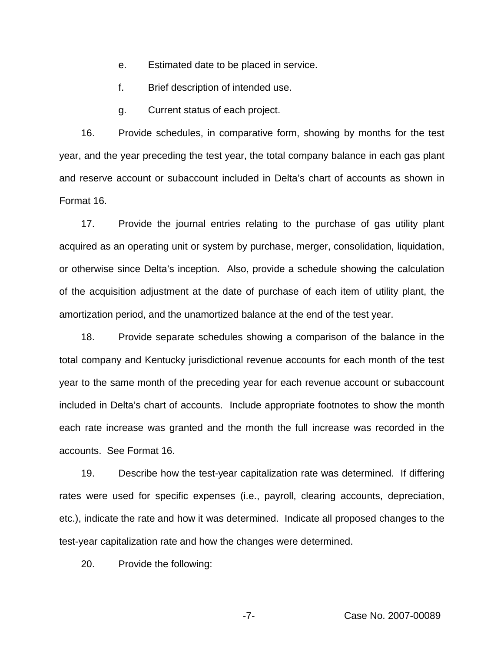- e. Estimated date to be placed in service.
- f. Brief description of intended use.
- g. Current status of each project.

16. Provide schedules, in comparative form, showing by months for the test year, and the year preceding the test year, the total company balance in each gas plant and reserve account or subaccount included in Delta's chart of accounts as shown in Format 16.

17. Provide the journal entries relating to the purchase of gas utility plant acquired as an operating unit or system by purchase, merger, consolidation, liquidation, or otherwise since Delta's inception. Also, provide a schedule showing the calculation of the acquisition adjustment at the date of purchase of each item of utility plant, the amortization period, and the unamortized balance at the end of the test year.

18. Provide separate schedules showing a comparison of the balance in the total company and Kentucky jurisdictional revenue accounts for each month of the test year to the same month of the preceding year for each revenue account or subaccount included in Delta's chart of accounts. Include appropriate footnotes to show the month each rate increase was granted and the month the full increase was recorded in the accounts. See Format 16.

19. Describe how the test-year capitalization rate was determined. If differing rates were used for specific expenses (i.e., payroll, clearing accounts, depreciation, etc.), indicate the rate and how it was determined. Indicate all proposed changes to the test-year capitalization rate and how the changes were determined.

20. Provide the following: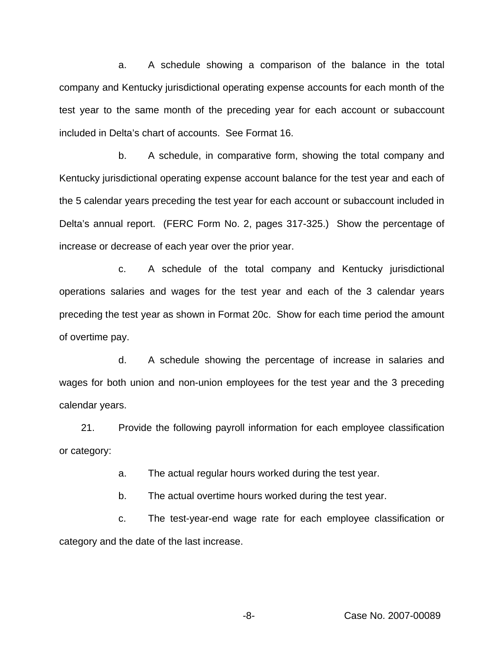a. A schedule showing a comparison of the balance in the total company and Kentucky jurisdictional operating expense accounts for each month of the test year to the same month of the preceding year for each account or subaccount included in Delta's chart of accounts. See Format 16.

b. A schedule, in comparative form, showing the total company and Kentucky jurisdictional operating expense account balance for the test year and each of the 5 calendar years preceding the test year for each account or subaccount included in Delta's annual report. (FERC Form No. 2, pages 317-325.) Show the percentage of increase or decrease of each year over the prior year.

c. A schedule of the total company and Kentucky jurisdictional operations salaries and wages for the test year and each of the 3 calendar years preceding the test year as shown in Format 20c. Show for each time period the amount of overtime pay.

d. A schedule showing the percentage of increase in salaries and wages for both union and non-union employees for the test year and the 3 preceding calendar years.

21. Provide the following payroll information for each employee classification or category:

a. The actual regular hours worked during the test year.

b. The actual overtime hours worked during the test year.

c. The test-year-end wage rate for each employee classification or category and the date of the last increase.

-8- Case No. 2007-00089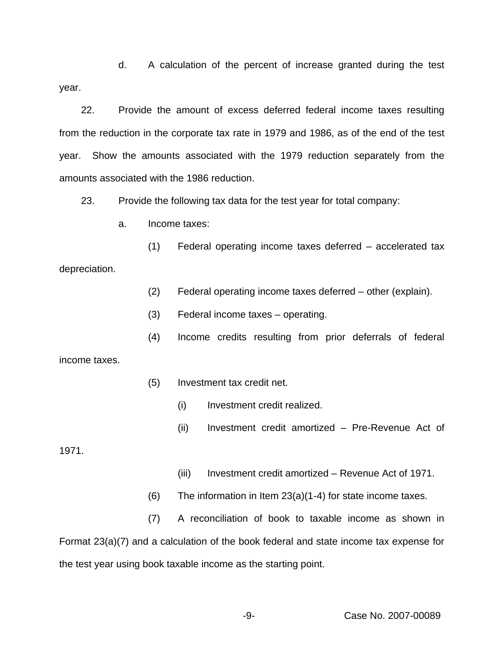d. A calculation of the percent of increase granted during the test year.

22. Provide the amount of excess deferred federal income taxes resulting from the reduction in the corporate tax rate in 1979 and 1986, as of the end of the test year. Show the amounts associated with the 1979 reduction separately from the amounts associated with the 1986 reduction.

23. Provide the following tax data for the test year for total company:

a. Income taxes:

(1) Federal operating income taxes deferred – accelerated tax depreciation.

- (2) Federal operating income taxes deferred other (explain).
- (3) Federal income taxes operating.
- (4) Income credits resulting from prior deferrals of federal

income taxes.

- (5) Investment tax credit net.
	- (i) Investment credit realized.
	- (ii) Investment credit amortized Pre-Revenue Act of

1971.

- (iii) Investment credit amortized Revenue Act of 1971.
- $(6)$  The information in Item 23(a)(1-4) for state income taxes.

(7) A reconciliation of book to taxable income as shown in Format 23(a)(7) and a calculation of the book federal and state income tax expense for the test year using book taxable income as the starting point.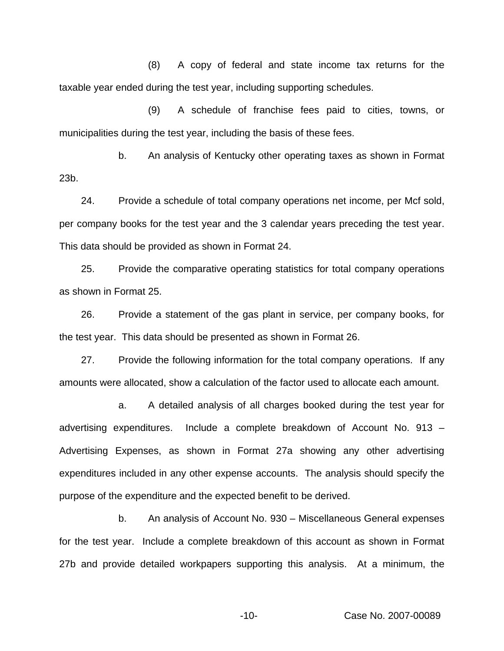(8) A copy of federal and state income tax returns for the taxable year ended during the test year, including supporting schedules.

(9) A schedule of franchise fees paid to cities, towns, or municipalities during the test year, including the basis of these fees.

b. An analysis of Kentucky other operating taxes as shown in Format 23b.

24. Provide a schedule of total company operations net income, per Mcf sold, per company books for the test year and the 3 calendar years preceding the test year. This data should be provided as shown in Format 24.

25. Provide the comparative operating statistics for total company operations as shown in Format 25.

26. Provide a statement of the gas plant in service, per company books, for the test year. This data should be presented as shown in Format 26.

27. Provide the following information for the total company operations. If any amounts were allocated, show a calculation of the factor used to allocate each amount.

a. A detailed analysis of all charges booked during the test year for advertising expenditures. Include a complete breakdown of Account No. 913 – Advertising Expenses, as shown in Format 27a showing any other advertising expenditures included in any other expense accounts. The analysis should specify the purpose of the expenditure and the expected benefit to be derived.

b. An analysis of Account No. 930 – Miscellaneous General expenses for the test year. Include a complete breakdown of this account as shown in Format 27b and provide detailed workpapers supporting this analysis. At a minimum, the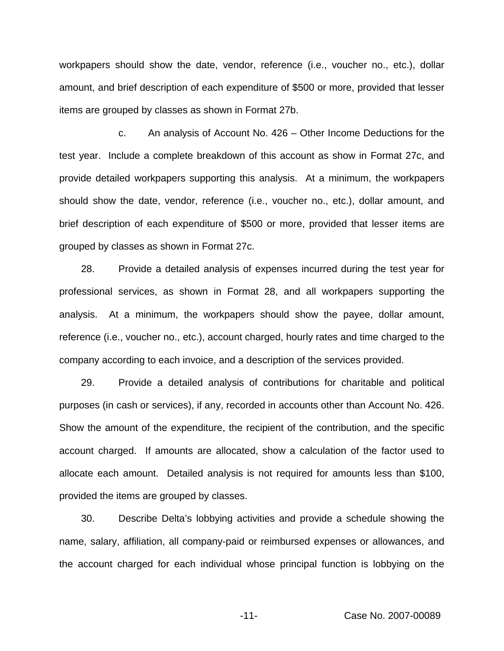workpapers should show the date, vendor, reference (i.e., voucher no., etc.), dollar amount, and brief description of each expenditure of \$500 or more, provided that lesser items are grouped by classes as shown in Format 27b.

c. An analysis of Account No. 426 – Other Income Deductions for the test year. Include a complete breakdown of this account as show in Format 27c, and provide detailed workpapers supporting this analysis. At a minimum, the workpapers should show the date, vendor, reference (i.e., voucher no., etc.), dollar amount, and brief description of each expenditure of \$500 or more, provided that lesser items are grouped by classes as shown in Format 27c.

28. Provide a detailed analysis of expenses incurred during the test year for professional services, as shown in Format 28, and all workpapers supporting the analysis. At a minimum, the workpapers should show the payee, dollar amount, reference (i.e., voucher no., etc.), account charged, hourly rates and time charged to the company according to each invoice, and a description of the services provided.

29. Provide a detailed analysis of contributions for charitable and political purposes (in cash or services), if any, recorded in accounts other than Account No. 426. Show the amount of the expenditure, the recipient of the contribution, and the specific account charged. If amounts are allocated, show a calculation of the factor used to allocate each amount. Detailed analysis is not required for amounts less than \$100, provided the items are grouped by classes.

30. Describe Delta's lobbying activities and provide a schedule showing the name, salary, affiliation, all company-paid or reimbursed expenses or allowances, and the account charged for each individual whose principal function is lobbying on the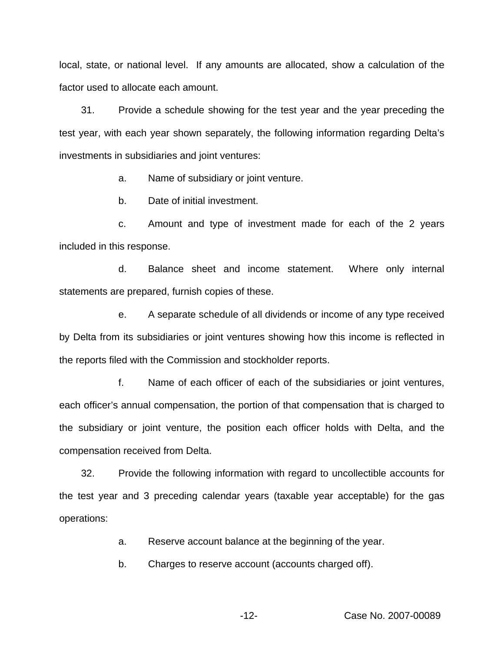local, state, or national level. If any amounts are allocated, show a calculation of the factor used to allocate each amount.

31. Provide a schedule showing for the test year and the year preceding the test year, with each year shown separately, the following information regarding Delta's investments in subsidiaries and joint ventures:

a. Name of subsidiary or joint venture.

b. Date of initial investment.

c. Amount and type of investment made for each of the 2 years included in this response.

d. Balance sheet and income statement. Where only internal statements are prepared, furnish copies of these.

e. A separate schedule of all dividends or income of any type received by Delta from its subsidiaries or joint ventures showing how this income is reflected in the reports filed with the Commission and stockholder reports.

f. Name of each officer of each of the subsidiaries or joint ventures, each officer's annual compensation, the portion of that compensation that is charged to the subsidiary or joint venture, the position each officer holds with Delta, and the compensation received from Delta.

32. Provide the following information with regard to uncollectible accounts for the test year and 3 preceding calendar years (taxable year acceptable) for the gas operations:

a. Reserve account balance at the beginning of the year.

b. Charges to reserve account (accounts charged off).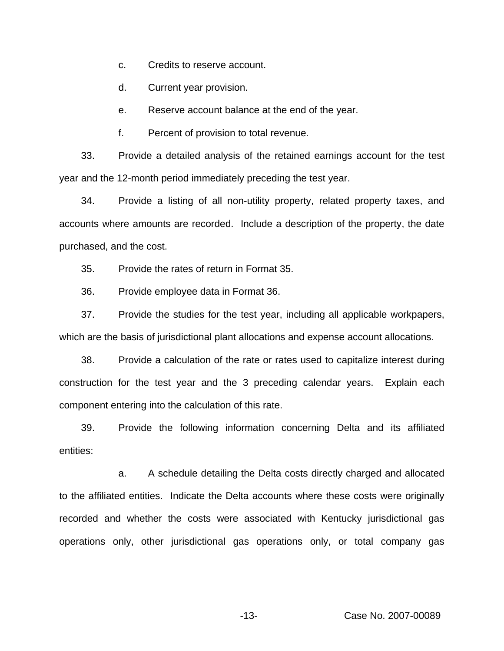c. Credits to reserve account.

d. Current year provision.

e. Reserve account balance at the end of the year.

f. Percent of provision to total revenue.

33. Provide a detailed analysis of the retained earnings account for the test year and the 12-month period immediately preceding the test year.

34. Provide a listing of all non-utility property, related property taxes, and accounts where amounts are recorded. Include a description of the property, the date purchased, and the cost.

35. Provide the rates of return in Format 35.

36. Provide employee data in Format 36.

37. Provide the studies for the test year, including all applicable workpapers, which are the basis of jurisdictional plant allocations and expense account allocations.

38. Provide a calculation of the rate or rates used to capitalize interest during construction for the test year and the 3 preceding calendar years. Explain each component entering into the calculation of this rate.

39. Provide the following information concerning Delta and its affiliated entities:

a. A schedule detailing the Delta costs directly charged and allocated to the affiliated entities. Indicate the Delta accounts where these costs were originally recorded and whether the costs were associated with Kentucky jurisdictional gas operations only, other jurisdictional gas operations only, or total company gas

-13- Case No. 2007-00089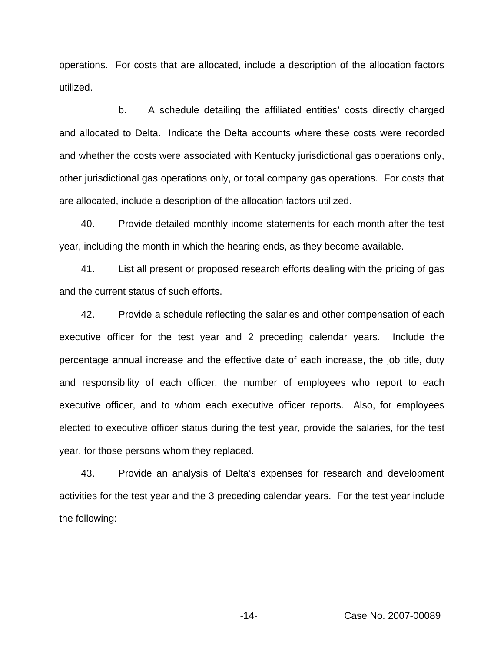operations. For costs that are allocated, include a description of the allocation factors utilized.

b. A schedule detailing the affiliated entities' costs directly charged and allocated to Delta. Indicate the Delta accounts where these costs were recorded and whether the costs were associated with Kentucky jurisdictional gas operations only, other jurisdictional gas operations only, or total company gas operations. For costs that are allocated, include a description of the allocation factors utilized.

40. Provide detailed monthly income statements for each month after the test year, including the month in which the hearing ends, as they become available.

41. List all present or proposed research efforts dealing with the pricing of gas and the current status of such efforts.

42. Provide a schedule reflecting the salaries and other compensation of each executive officer for the test year and 2 preceding calendar years. Include the percentage annual increase and the effective date of each increase, the job title, duty and responsibility of each officer, the number of employees who report to each executive officer, and to whom each executive officer reports. Also, for employees elected to executive officer status during the test year, provide the salaries, for the test year, for those persons whom they replaced.

43. Provide an analysis of Delta's expenses for research and development activities for the test year and the 3 preceding calendar years. For the test year include the following: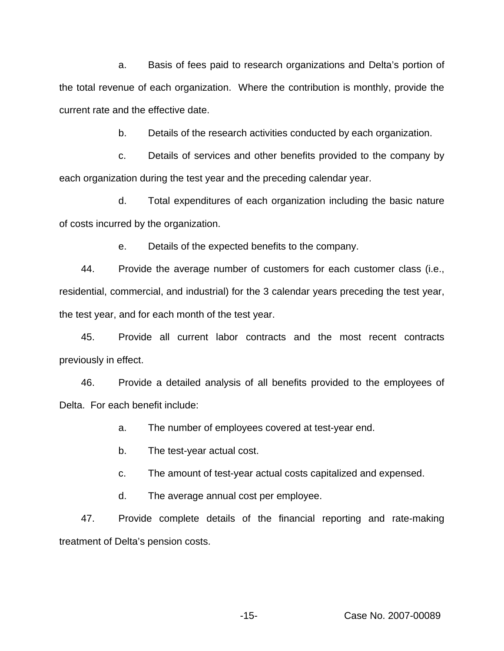a. Basis of fees paid to research organizations and Delta's portion of the total revenue of each organization. Where the contribution is monthly, provide the current rate and the effective date.

b. Details of the research activities conducted by each organization.

c. Details of services and other benefits provided to the company by each organization during the test year and the preceding calendar year.

d. Total expenditures of each organization including the basic nature of costs incurred by the organization.

e. Details of the expected benefits to the company.

44. Provide the average number of customers for each customer class (i.e., residential, commercial, and industrial) for the 3 calendar years preceding the test year, the test year, and for each month of the test year.

45. Provide all current labor contracts and the most recent contracts previously in effect.

46. Provide a detailed analysis of all benefits provided to the employees of Delta. For each benefit include:

a. The number of employees covered at test-year end.

b. The test-year actual cost.

c. The amount of test-year actual costs capitalized and expensed.

d. The average annual cost per employee.

47. Provide complete details of the financial reporting and rate-making treatment of Delta's pension costs.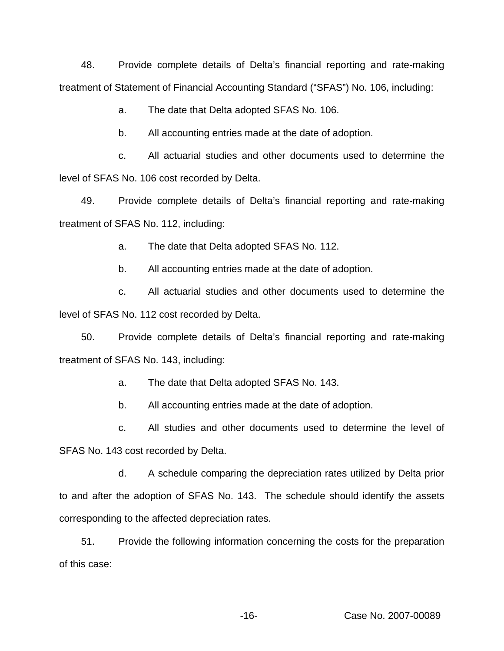48. Provide complete details of Delta's financial reporting and rate-making treatment of Statement of Financial Accounting Standard ("SFAS") No. 106, including:

a. The date that Delta adopted SFAS No. 106.

b. All accounting entries made at the date of adoption.

c. All actuarial studies and other documents used to determine the level of SFAS No. 106 cost recorded by Delta.

49. Provide complete details of Delta's financial reporting and rate-making treatment of SFAS No. 112, including:

a. The date that Delta adopted SFAS No. 112.

b. All accounting entries made at the date of adoption.

c. All actuarial studies and other documents used to determine the level of SFAS No. 112 cost recorded by Delta.

50. Provide complete details of Delta's financial reporting and rate-making treatment of SFAS No. 143, including:

a. The date that Delta adopted SFAS No. 143.

b. All accounting entries made at the date of adoption.

c. All studies and other documents used to determine the level of SFAS No. 143 cost recorded by Delta.

d. A schedule comparing the depreciation rates utilized by Delta prior to and after the adoption of SFAS No. 143. The schedule should identify the assets corresponding to the affected depreciation rates.

51. Provide the following information concerning the costs for the preparation of this case: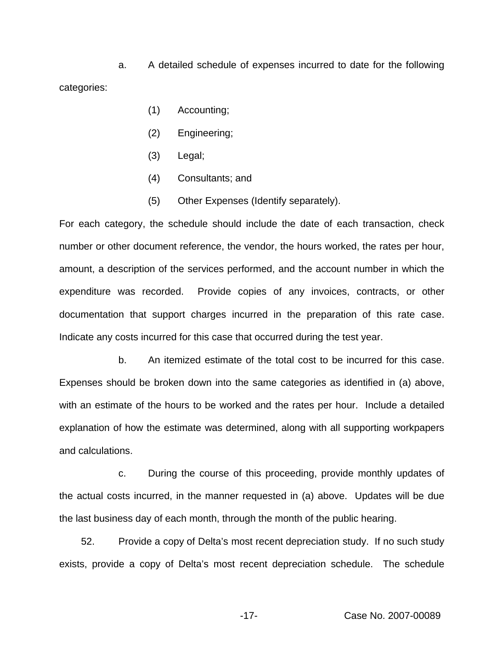a. A detailed schedule of expenses incurred to date for the following categories:

- (1) Accounting;
- (2) Engineering;
- (3) Legal;
- (4) Consultants; and
- (5) Other Expenses (Identify separately).

For each category, the schedule should include the date of each transaction, check number or other document reference, the vendor, the hours worked, the rates per hour, amount, a description of the services performed, and the account number in which the expenditure was recorded. Provide copies of any invoices, contracts, or other documentation that support charges incurred in the preparation of this rate case. Indicate any costs incurred for this case that occurred during the test year.

b. An itemized estimate of the total cost to be incurred for this case. Expenses should be broken down into the same categories as identified in (a) above, with an estimate of the hours to be worked and the rates per hour. Include a detailed explanation of how the estimate was determined, along with all supporting workpapers and calculations.

c. During the course of this proceeding, provide monthly updates of the actual costs incurred, in the manner requested in (a) above. Updates will be due the last business day of each month, through the month of the public hearing.

52. Provide a copy of Delta's most recent depreciation study. If no such study exists, provide a copy of Delta's most recent depreciation schedule. The schedule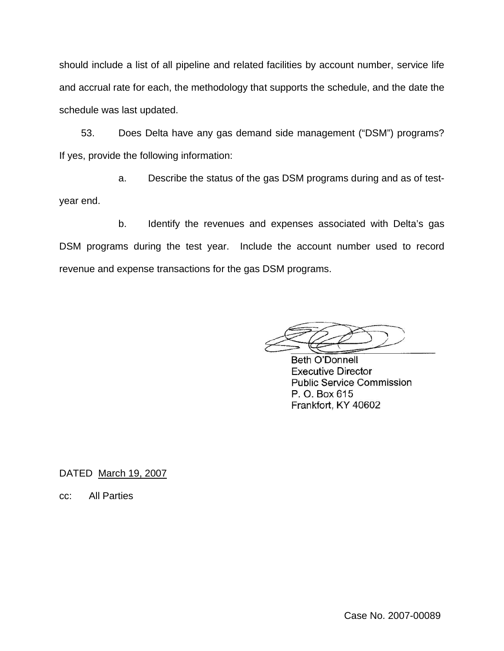should include a list of all pipeline and related facilities by account number, service life and accrual rate for each, the methodology that supports the schedule, and the date the schedule was last updated.

53. Does Delta have any gas demand side management ("DSM") programs? If yes, provide the following information:

a. Describe the status of the gas DSM programs during and as of testyear end.

b. Identify the revenues and expenses associated with Delta's gas DSM programs during the test year. Include the account number used to record revenue and expense transactions for the gas DSM programs.

**Beth O'Donnell Executive Director Public Service Commission** P. O. Box 615 Frankfort, KY 40602

DATED March 19, 2007

cc: All Parties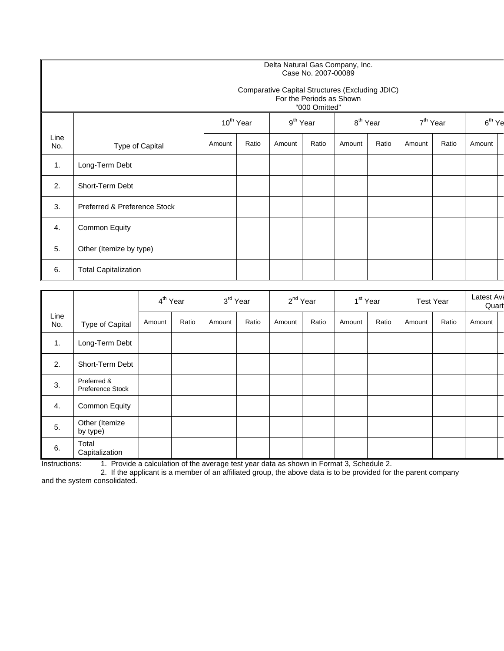#### Delta Natural Gas Company, Inc. Case No. 2007-00089

#### Comparative Capital Structures (Excluding JDIC) For the Periods as Shown

|             |                              |        | 10 <sup>th</sup> Year |        | $9th$ Year |        | 8 <sup>th</sup> Year |        | 7 <sup>th</sup> Year |        | $6th$ Ye |
|-------------|------------------------------|--------|-----------------------|--------|------------|--------|----------------------|--------|----------------------|--------|----------|
| Line<br>No. | Type of Capital              | Amount | Ratio                 | Amount | Ratio      | Amount | Ratio                | Amount | Ratio                | Amount |          |
| 1.          | Long-Term Debt               |        |                       |        |            |        |                      |        |                      |        |          |
| 2.          | Short-Term Debt              |        |                       |        |            |        |                      |        |                      |        |          |
| 3.          | Preferred & Preference Stock |        |                       |        |            |        |                      |        |                      |        |          |
| 4.          | Common Equity                |        |                       |        |            |        |                      |        |                      |        |          |
| 5.          | Other (Itemize by type)      |        |                       |        |            |        |                      |        |                      |        |          |
| 6.          | <b>Total Capitalization</b>  |        |                       |        |            |        |                      |        |                      |        |          |

|             |                                 |        | 4 <sup>th</sup> Year |        | 3 <sup>rd</sup> Year |        | 2 <sup>nd</sup> Year |        | 1 <sup>st</sup> Year |        | <b>Test Year</b> | Latest Ava<br>Quart |  |
|-------------|---------------------------------|--------|----------------------|--------|----------------------|--------|----------------------|--------|----------------------|--------|------------------|---------------------|--|
| Line<br>No. | Type of Capital                 | Amount | Ratio                | Amount | Ratio                | Amount | Ratio                | Amount | Ratio                | Amount | Ratio            | Amount              |  |
| 1.          | Long-Term Debt                  |        |                      |        |                      |        |                      |        |                      |        |                  |                     |  |
| 2.          | Short-Term Debt                 |        |                      |        |                      |        |                      |        |                      |        |                  |                     |  |
| 3.          | Preferred &<br>Preference Stock |        |                      |        |                      |        |                      |        |                      |        |                  |                     |  |
| 4.          | Common Equity                   |        |                      |        |                      |        |                      |        |                      |        |                  |                     |  |
| 5.          | Other (Itemize<br>by type)      |        |                      |        |                      |        |                      |        |                      |        |                  |                     |  |
| 6.          | Total<br>Capitalization         |        |                      |        |                      |        |                      |        |                      |        |                  |                     |  |

Instructions: 1. Provide a calculation of the average test year data as shown in Format 3, Schedule 2.

2. If the applicant is a member of an affiliated group, the above data is to be provided for the parent company and the system consolidated.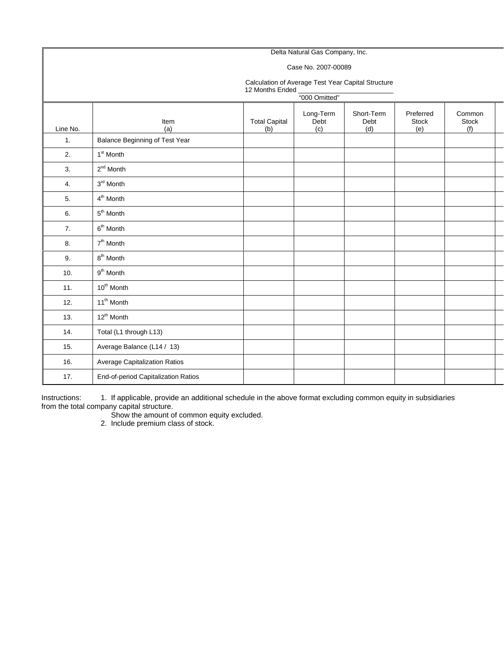#### Delta Natural Gas Company, Inc. Case No. 2007-00089 Calculation of Average Test Year Capital Structure 12 Months Ended "000 Omitted" Line No. Item (a) Total Capital (b) Long-Term Debt (c) Short-Term Debt (d) Preferred Stock (e) Common Stock (f) 1. Balance Beginning of Test Year 2.  $1<sup>st</sup>$  Month 3.  $2^{nd}$  Month 4. 3<sup>rd</sup> Month 5.  $4<sup>th</sup>$  Month 6. 5<sup>th</sup> Month 7.  $6<sup>th</sup> Month$ 8.  $7<sup>th</sup>$  Month 9.  $8^{th}$  Month 10.  $9^{th}$  Month 11.  $10^{th}$  Month 12.  $11<sup>th</sup> Month$ 13.  $12^{th}$  Month 14. **Total (L1 through L13)** 15. Average Balance (L14 / 13) 16. Average Capitalization Ratios 17. **End-of-period Capitalization Ratios**

Instructions: 1. If applicable, provide an additional schedule in the above format excluding common equity in subsidiaries from the total company capital structure.

Show the amount of common equity excluded.

2. Include premium class of stock.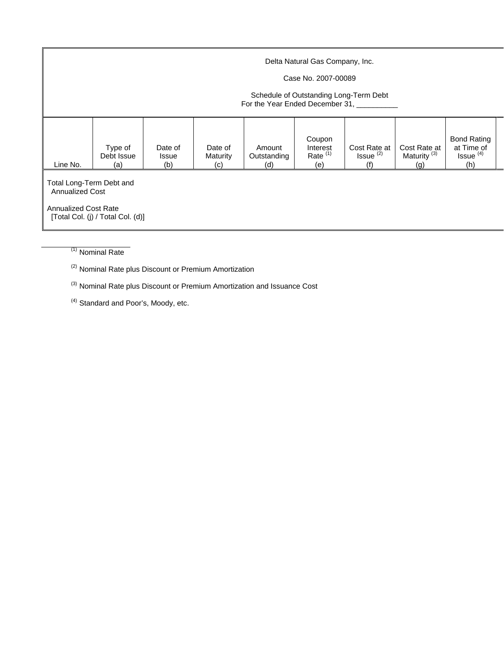|                                                                                                                        | Delta Natural Gas Company, Inc.<br>Case No. 2007-00089<br>Schedule of Outstanding Long-Term Debt<br>For the Year Ended December 31, |                                |                            |                              |                                         |                                      |                                                |                                                                 |  |  |  |  |  |
|------------------------------------------------------------------------------------------------------------------------|-------------------------------------------------------------------------------------------------------------------------------------|--------------------------------|----------------------------|------------------------------|-----------------------------------------|--------------------------------------|------------------------------------------------|-----------------------------------------------------------------|--|--|--|--|--|
| Line No.                                                                                                               | Type of<br>Debt Issue<br>(a)                                                                                                        | Date of<br><b>Issue</b><br>(b) | Date of<br>Maturity<br>(c) | Amount<br>Outstanding<br>(d) | Coupon<br>Interest<br>Rate $(1)$<br>(e) | Cost Rate at<br>$Issue^{(2)}$<br>(f) | Cost Rate at<br>Maturity <sup>(3)</sup><br>(g) | <b>Bond Rating</b><br>at Time of<br>Issue <sup>(4)</sup><br>(h) |  |  |  |  |  |
| Total Long-Term Debt and<br><b>Annualized Cost</b><br><b>Annualized Cost Rate</b><br>[Total Col. (j) / Total Col. (d)] |                                                                                                                                     |                                |                            |                              |                                         |                                      |                                                |                                                                 |  |  |  |  |  |

 $(1)$  Nominal Rate

(2) Nominal Rate plus Discount or Premium Amortization

(3) Nominal Rate plus Discount or Premium Amortization and Issuance Cost

(4) Standard and Poor's, Moody, etc.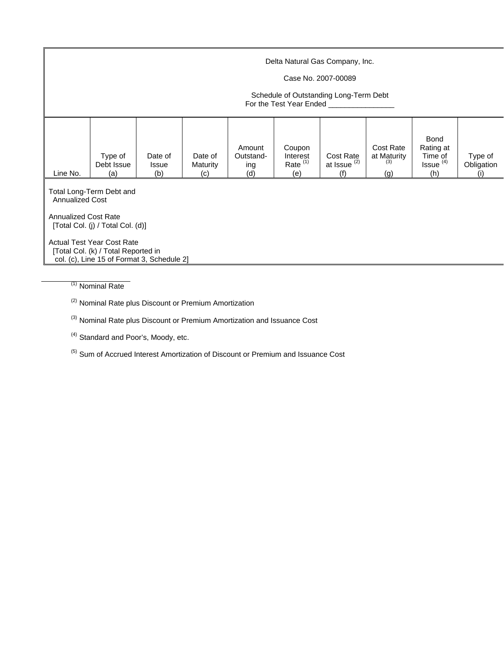|          | Delta Natural Gas Company, Inc.<br>Case No. 2007-00089<br>Schedule of Outstanding Long-Term Debt<br>For the Test Year Ended |                                |                                   |                                   |                                         |                                    |                                        |                                                             |                              |  |  |  |  |
|----------|-----------------------------------------------------------------------------------------------------------------------------|--------------------------------|-----------------------------------|-----------------------------------|-----------------------------------------|------------------------------------|----------------------------------------|-------------------------------------------------------------|------------------------------|--|--|--|--|
| Line No. | Type of<br>Debt Issue<br>(a)                                                                                                | Date of<br><b>Issue</b><br>(b) | Date of<br><b>Maturity</b><br>(c) | Amount<br>Outstand-<br>ing<br>(d) | Coupon<br>Interest<br>Rate $(1)$<br>(e) | Cost Rate<br>at Issue $(2)$<br>(f) | Cost Rate<br>at Maturity<br>(3)<br>(g) | Bond<br>Rating at<br>Time of<br>Issue <sup>(4)</sup><br>(h) | Type of<br>Obligation<br>(i) |  |  |  |  |
|          | Total Long-Term Debt and<br><b>Annualized Cost</b><br><b>Annualized Cost Rate</b><br>[Total Col. (j) / Total Col. (d)]      |                                |                                   |                                   |                                         |                                    |                                        |                                                             |                              |  |  |  |  |
|          | <b>Actual Test Year Cost Rate</b><br>[Total Col. (k) / Total Reported in<br>col. (c), Line 15 of Format 3, Schedule 2]      |                                |                                   |                                   |                                         |                                    |                                        |                                                             |                              |  |  |  |  |

(1) Nominal Rate

<sup>(2)</sup> Nominal Rate plus Discount or Premium Amortization

(3) Nominal Rate plus Discount or Premium Amortization and Issuance Cost

<sup>(4)</sup> Standard and Poor's, Moody, etc.

(5) Sum of Accrued Interest Amortization of Discount or Premium and Issuance Cost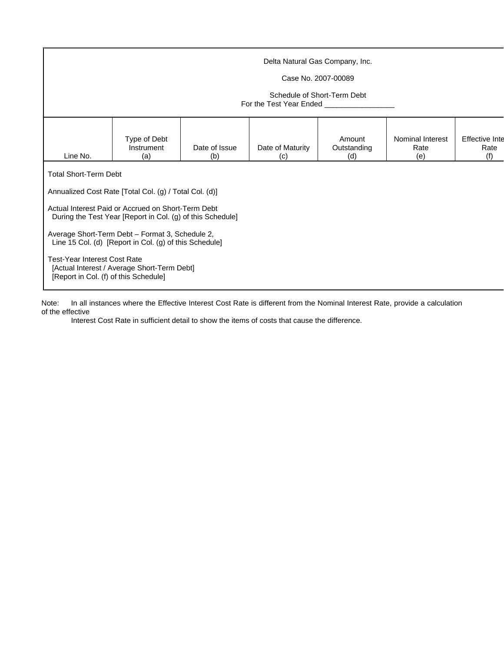|                                                                                                                                                                                                                                                                                                                                                                               | Delta Natural Gas Company, Inc.<br>Case No. 2007-00089<br>Schedule of Short-Term Debt<br>For the Test Year Ended <b>Fig. 18 For the Test Year Ended</b> |  |  |  |  |  |  |  |  |  |  |  |  |
|-------------------------------------------------------------------------------------------------------------------------------------------------------------------------------------------------------------------------------------------------------------------------------------------------------------------------------------------------------------------------------|---------------------------------------------------------------------------------------------------------------------------------------------------------|--|--|--|--|--|--|--|--|--|--|--|--|
| Type of Debt<br>Nominal Interest<br><b>Effective Inte</b><br>Amount<br>Instrument<br>Date of Issue<br>Date of Maturity<br>Outstanding<br>Rate<br>Rate<br>Line No.<br>(f)<br>(a)<br>(e)<br>(b)<br>(c)<br>(d)<br><b>Total Short-Term Debt</b>                                                                                                                                   |                                                                                                                                                         |  |  |  |  |  |  |  |  |  |  |  |  |
| Annualized Cost Rate [Total Col. (g) / Total Col. (d)]<br>Actual Interest Paid or Accrued on Short-Term Debt<br>During the Test Year [Report in Col. (g) of this Schedule]<br>Average Short-Term Debt - Format 3, Schedule 2,<br>Line 15 Col. (d) [Report in Col. (g) of this Schedule]<br><b>Test-Year Interest Cost Rate</b><br>[Actual Interest / Average Short-Term Debt] |                                                                                                                                                         |  |  |  |  |  |  |  |  |  |  |  |  |

Note: In all instances where the Effective Interest Cost Rate is different from the Nominal Interest Rate, provide a calculation of the effective

Interest Cost Rate in sufficient detail to show the items of costs that cause the difference.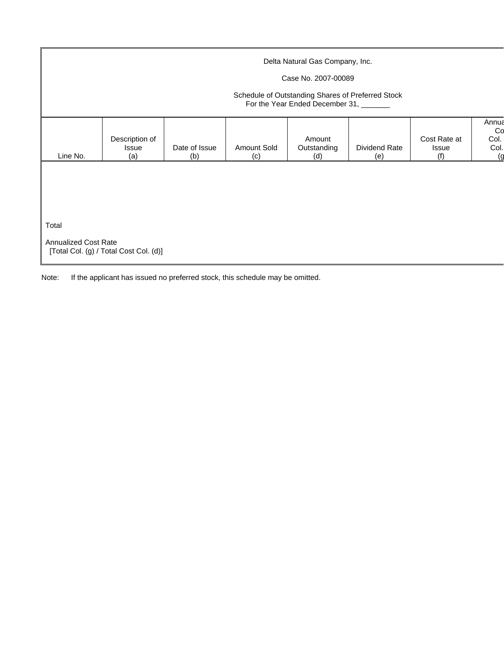|                      |                                       |                      |                    | Delta Natural Gas Company, Inc.                                                             |                      |                              |                                    |
|----------------------|---------------------------------------|----------------------|--------------------|---------------------------------------------------------------------------------------------|----------------------|------------------------------|------------------------------------|
|                      |                                       |                      |                    | Case No. 2007-00089                                                                         |                      |                              |                                    |
|                      |                                       |                      |                    | Schedule of Outstanding Shares of Preferred Stock<br>For the Year Ended December 31, ______ |                      |                              |                                    |
| Line No.             | Description of<br><b>Issue</b><br>(a) | Date of Issue<br>(b) | Amount Sold<br>(c) | Amount<br>Outstanding<br>(d)                                                                | Dividend Rate<br>(e) | Cost Rate at<br>Issue<br>(f) | Annua<br>Co<br>Col.<br>Col.<br>١g) |
|                      |                                       |                      |                    |                                                                                             |                      |                              |                                    |
|                      |                                       |                      |                    |                                                                                             |                      |                              |                                    |
| Total                |                                       |                      |                    |                                                                                             |                      |                              |                                    |
| Annualized Cost Rate |                                       |                      |                    |                                                                                             |                      |                              |                                    |

Note: If the applicant has issued no preferred stock, this schedule may be omitted.

[Total Col. (g) / Total Cost Col. (d)]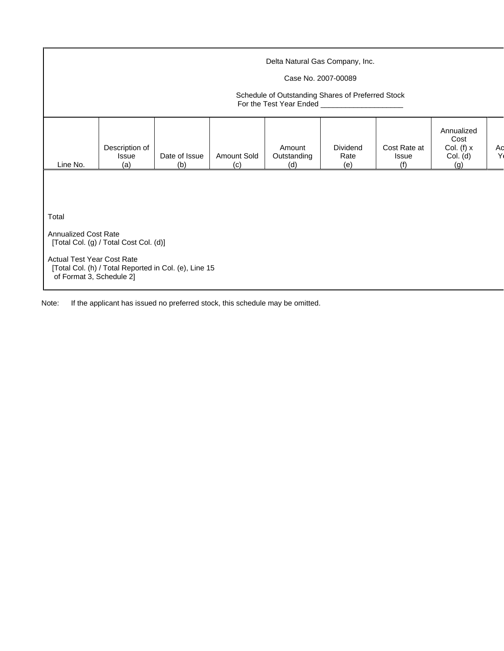|                                                               | Delta Natural Gas Company, Inc.<br>Case No. 2007-00089<br>Schedule of Outstanding Shares of Preferred Stock |                                                       |                    |                              |                         |                                     |                                                       |          |  |  |  |  |  |
|---------------------------------------------------------------|-------------------------------------------------------------------------------------------------------------|-------------------------------------------------------|--------------------|------------------------------|-------------------------|-------------------------------------|-------------------------------------------------------|----------|--|--|--|--|--|
| Line No.                                                      | Description of<br>Issue<br>(a)                                                                              | Date of Issue<br>(b)                                  | Amount Sold<br>(c) | Amount<br>Outstanding<br>(d) | Dividend<br>Rate<br>(e) | Cost Rate at<br><b>Issue</b><br>(f) | Annualized<br>Cost<br>Col. (f) $x$<br>Col. (d)<br>(g) | Aq<br>Y) |  |  |  |  |  |
|                                                               |                                                                                                             |                                                       |                    |                              |                         |                                     |                                                       |          |  |  |  |  |  |
| Total                                                         |                                                                                                             |                                                       |                    |                              |                         |                                     |                                                       |          |  |  |  |  |  |
| <b>Annualized Cost Rate</b>                                   | [Total Col. (g) / Total Cost Col. (d)]                                                                      |                                                       |                    |                              |                         |                                     |                                                       |          |  |  |  |  |  |
| <b>Actual Test Year Cost Rate</b><br>of Format 3, Schedule 2] |                                                                                                             | [Total Col. (h) / Total Reported in Col. (e), Line 15 |                    |                              |                         |                                     |                                                       |          |  |  |  |  |  |

Note: If the applicant has issued no preferred stock, this schedule may be omitted.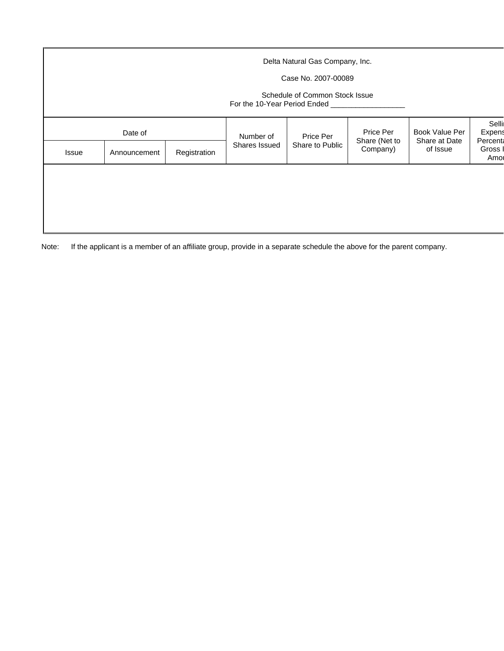|       |                         |              |                            | Delta Natural Gas Company, Inc.<br>Case No. 2007-00089<br>Schedule of Common Stock Issue<br>For the 10-Year Period Ended ____ |                                        |                                             |                                                           |
|-------|-------------------------|--------------|----------------------------|-------------------------------------------------------------------------------------------------------------------------------|----------------------------------------|---------------------------------------------|-----------------------------------------------------------|
| Issue | Date of<br>Announcement | Registration | Number of<br>Shares Issued | Price Per<br>Share to Public                                                                                                  | Price Per<br>Share (Net to<br>Company) | Book Value Per<br>Share at Date<br>of Issue | Selli<br>Expens<br><b>Percent</b><br><b>Gross</b><br>Amor |
|       |                         |              |                            |                                                                                                                               |                                        |                                             |                                                           |

Note: If the applicant is a member of an affiliate group, provide in a separate schedule the above for the parent company.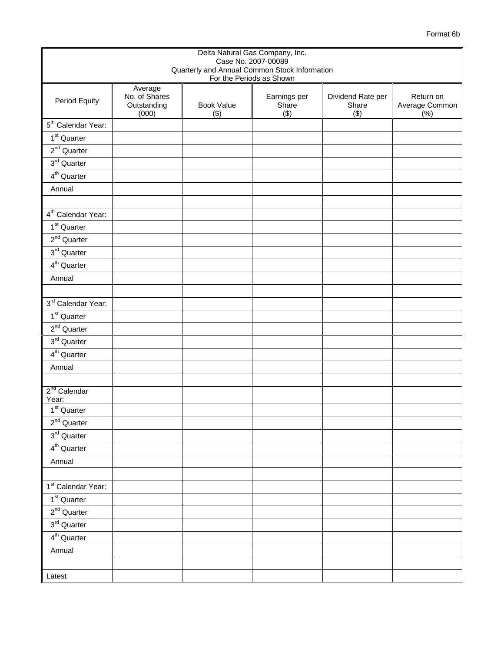|                                   |                                                  |                                               | Delta Natural Gas Company, Inc. |                                   |                                     |
|-----------------------------------|--------------------------------------------------|-----------------------------------------------|---------------------------------|-----------------------------------|-------------------------------------|
|                                   |                                                  | Quarterly and Annual Common Stock Information | Case No. 2007-00089             |                                   |                                     |
|                                   |                                                  |                                               | For the Periods as Shown        |                                   |                                     |
| Period Equity                     | Average<br>No. of Shares<br>Outstanding<br>(000) | <b>Book Value</b><br>(3)                      | Earnings per<br>Share<br>(3)    | Dividend Rate per<br>Share<br>(3) | Return on<br>Average Common<br>(% ) |
| 5 <sup>th</sup> Calendar Year:    |                                                  |                                               |                                 |                                   |                                     |
| $1st$ Quarter                     |                                                  |                                               |                                 |                                   |                                     |
| $2^{nd}$ Quarter                  |                                                  |                                               |                                 |                                   |                                     |
| 3rd Quarter                       |                                                  |                                               |                                 |                                   |                                     |
| $4th$ Quarter                     |                                                  |                                               |                                 |                                   |                                     |
| Annual                            |                                                  |                                               |                                 |                                   |                                     |
|                                   |                                                  |                                               |                                 |                                   |                                     |
| 4 <sup>th</sup> Calendar Year:    |                                                  |                                               |                                 |                                   |                                     |
| $1st$ Quarter                     |                                                  |                                               |                                 |                                   |                                     |
| $2nd$ Quarter                     |                                                  |                                               |                                 |                                   |                                     |
| $3rd$ Quarter                     |                                                  |                                               |                                 |                                   |                                     |
| 4 <sup>th</sup> Quarter           |                                                  |                                               |                                 |                                   |                                     |
| Annual                            |                                                  |                                               |                                 |                                   |                                     |
|                                   |                                                  |                                               |                                 |                                   |                                     |
| 3rd Calendar Year:                |                                                  |                                               |                                 |                                   |                                     |
| $1st$ Quarter                     |                                                  |                                               |                                 |                                   |                                     |
| $2nd$ Quarter                     |                                                  |                                               |                                 |                                   |                                     |
| 3 <sup>rd</sup> Quarter           |                                                  |                                               |                                 |                                   |                                     |
| 4 <sup>th</sup> Quarter           |                                                  |                                               |                                 |                                   |                                     |
| Annual                            |                                                  |                                               |                                 |                                   |                                     |
|                                   |                                                  |                                               |                                 |                                   |                                     |
| 2 <sup>nd</sup> Calendar<br>Year: |                                                  |                                               |                                 |                                   |                                     |
| $1st$ Quarter                     |                                                  |                                               |                                 |                                   |                                     |
| $2nd$ Quarter                     |                                                  |                                               |                                 |                                   |                                     |
| $3^{\text{rd}}$ Quarter           |                                                  |                                               |                                 |                                   |                                     |
| 4 <sup>th</sup> Quarter           |                                                  |                                               |                                 |                                   |                                     |
| Annual                            |                                                  |                                               |                                 |                                   |                                     |
|                                   |                                                  |                                               |                                 |                                   |                                     |
| 1 <sup>st</sup> Calendar Year:    |                                                  |                                               |                                 |                                   |                                     |
| $1st$ Quarter                     |                                                  |                                               |                                 |                                   |                                     |
| $2nd$ Quarter                     |                                                  |                                               |                                 |                                   |                                     |
| $3rd$ Quarter                     |                                                  |                                               |                                 |                                   |                                     |
| $4th$ Quarter                     |                                                  |                                               |                                 |                                   |                                     |
| Annual                            |                                                  |                                               |                                 |                                   |                                     |
|                                   |                                                  |                                               |                                 |                                   |                                     |
| Latest                            |                                                  |                                               |                                 |                                   |                                     |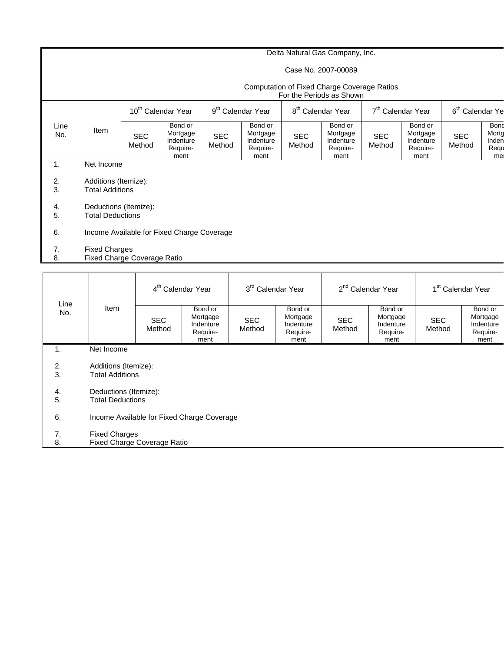### Delta Natural Gas Company, Inc.

### Case No. 2007-00089

#### Computation of Fixed Charge Coverage Ratios

|             |                                                     |                                |                                                      |                               |                                                      |                      | For the Periods as Shown                             |                               |                                                      |                             |                                      |
|-------------|-----------------------------------------------------|--------------------------------|------------------------------------------------------|-------------------------------|------------------------------------------------------|----------------------|------------------------------------------------------|-------------------------------|------------------------------------------------------|-----------------------------|--------------------------------------|
|             |                                                     | 10 <sup>th</sup> Calendar Year |                                                      | 9 <sup>th</sup> Calendar Year |                                                      |                      | 8 <sup>th</sup> Calendar Year                        | 7 <sup>th</sup> Calendar Year |                                                      | 6 <sup>th</sup> Calendar Ye |                                      |
| Line<br>No. | Item                                                | <b>SEC</b><br>Method           | Bond or<br>Mortgage<br>Indenture<br>Require-<br>ment | <b>SEC</b><br>Method          | Bond or<br>Mortgage<br>Indenture<br>Require-<br>ment | <b>SEC</b><br>Method | Bond or<br>Mortgage<br>Indenture<br>Require-<br>ment | <b>SEC</b><br>Method          | Bond or<br>Mortgage<br>Indenture<br>Require-<br>ment | <b>SEC</b><br>Method        | Bond<br>Morto<br>Inden<br>Requ<br>me |
| 1.          | Net Income                                          |                                |                                                      |                               |                                                      |                      |                                                      |                               |                                                      |                             |                                      |
| 2.<br>3.    | Additions (Itemize):<br><b>Total Additions</b>      |                                |                                                      |                               |                                                      |                      |                                                      |                               |                                                      |                             |                                      |
| 4.<br>5.    | <b>Total Deductions</b>                             | Deductions (Itemize):          |                                                      |                               |                                                      |                      |                                                      |                               |                                                      |                             |                                      |
| 6.          |                                                     |                                | Income Available for Fixed Charge Coverage           |                               |                                                      |                      |                                                      |                               |                                                      |                             |                                      |
| 7.<br>8.    | <b>Fixed Charges</b><br>Fixed Charge Coverage Ratio |                                |                                                      |                               |                                                      |                      |                                                      |                               |                                                      |                             |                                      |
|             |                                                     |                                | Alex 1                                               |                               | المعا                                                |                      | المحا                                                |                               | $-4$                                                 |                             |                                      |

| Line     |                                                            | 4 <sup>th</sup> Calendar Year                  |                                                      |                      | 3rd Calendar Year<br>2 <sup>nd</sup> Calendar Year   |                      |                                                      | 1 <sup>st</sup> Calendar Year |                                                      |  |  |
|----------|------------------------------------------------------------|------------------------------------------------|------------------------------------------------------|----------------------|------------------------------------------------------|----------------------|------------------------------------------------------|-------------------------------|------------------------------------------------------|--|--|
| No.      | Item                                                       | <b>SEC</b><br>Method                           | Bond or<br>Mortgage<br>Indenture<br>Require-<br>ment | <b>SEC</b><br>Method | Bond or<br>Mortgage<br>Indenture<br>Require-<br>ment | <b>SEC</b><br>Method | Bond or<br>Mortgage<br>Indenture<br>Require-<br>ment | <b>SEC</b><br>Method          | Bond or<br>Mortgage<br>Indenture<br>Require-<br>ment |  |  |
| 1.       | Net Income                                                 |                                                |                                                      |                      |                                                      |                      |                                                      |                               |                                                      |  |  |
| 2.<br>3. |                                                            | Additions (Itemize):<br><b>Total Additions</b> |                                                      |                      |                                                      |                      |                                                      |                               |                                                      |  |  |
| 4.<br>5. | Deductions (Itemize):<br><b>Total Deductions</b>           |                                                |                                                      |                      |                                                      |                      |                                                      |                               |                                                      |  |  |
| 6.       | Income Available for Fixed Charge Coverage                 |                                                |                                                      |                      |                                                      |                      |                                                      |                               |                                                      |  |  |
| 7.<br>8. | <b>Fixed Charges</b><br><b>Fixed Charge Coverage Ratio</b> |                                                |                                                      |                      |                                                      |                      |                                                      |                               |                                                      |  |  |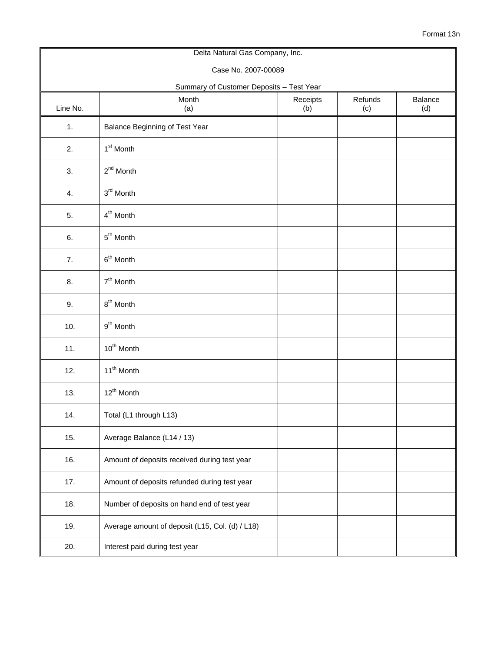| Delta Natural Gas Company, Inc. |                                                 |                 |                |                |  |  |  |  |  |  |
|---------------------------------|-------------------------------------------------|-----------------|----------------|----------------|--|--|--|--|--|--|
|                                 | Case No. 2007-00089                             |                 |                |                |  |  |  |  |  |  |
|                                 | Summary of Customer Deposits - Test Year        |                 |                |                |  |  |  |  |  |  |
| Line No.                        | Month<br>(a)                                    | Receipts<br>(b) | Refunds<br>(c) | Balance<br>(d) |  |  |  |  |  |  |
| 1.                              | <b>Balance Beginning of Test Year</b>           |                 |                |                |  |  |  |  |  |  |
| 2.                              | 1 <sup>st</sup> Month                           |                 |                |                |  |  |  |  |  |  |
| 3.                              | $2^{nd}$ Month                                  |                 |                |                |  |  |  |  |  |  |
| 4.                              | 3rd Month                                       |                 |                |                |  |  |  |  |  |  |
| 5.                              | 4 <sup>th</sup> Month                           |                 |                |                |  |  |  |  |  |  |
| 6.                              | 5 <sup>th</sup> Month                           |                 |                |                |  |  |  |  |  |  |
| 7.                              | $6th$ Month                                     |                 |                |                |  |  |  |  |  |  |
| 8.                              | $7th$ Month                                     |                 |                |                |  |  |  |  |  |  |
| 9.                              | $8th$ Month                                     |                 |                |                |  |  |  |  |  |  |
| 10.                             | 9 <sup>th</sup> Month                           |                 |                |                |  |  |  |  |  |  |
| 11.                             | 10 <sup>th</sup> Month                          |                 |                |                |  |  |  |  |  |  |
| 12.                             | 11 <sup>th</sup> Month                          |                 |                |                |  |  |  |  |  |  |
| 13.                             | 12 <sup>th</sup> Month                          |                 |                |                |  |  |  |  |  |  |
| 14.                             | Total (L1 through L13)                          |                 |                |                |  |  |  |  |  |  |
| 15.                             | Average Balance (L14 / 13)                      |                 |                |                |  |  |  |  |  |  |
| 16.                             | Amount of deposits received during test year    |                 |                |                |  |  |  |  |  |  |
| 17.                             | Amount of deposits refunded during test year    |                 |                |                |  |  |  |  |  |  |
| 18.                             | Number of deposits on hand end of test year     |                 |                |                |  |  |  |  |  |  |
| 19.                             | Average amount of deposit (L15, Col. (d) / L18) |                 |                |                |  |  |  |  |  |  |
| 20.                             | Interest paid during test year                  |                 |                |                |  |  |  |  |  |  |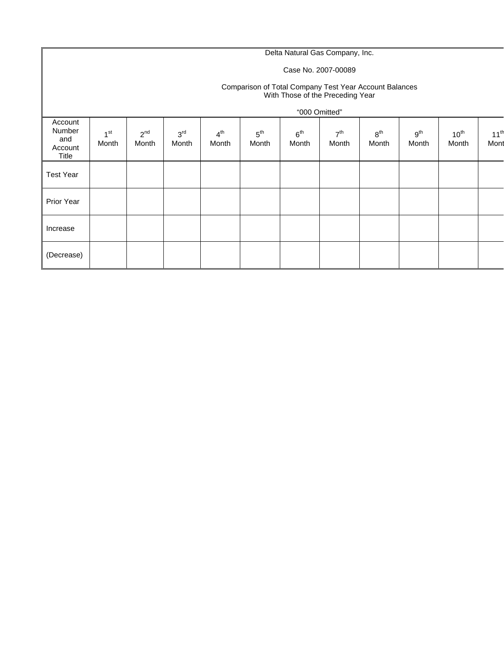# Delta Natural Gas Company, Inc.

### Case No. 2007-00089

#### Comparison of Total Company Test Year Account Balances With Those of the Preceding Year

|                                              |                          |                   |                          |                          |                          |                          | "000 Omitted"            |                          |                          |                    |                          |
|----------------------------------------------|--------------------------|-------------------|--------------------------|--------------------------|--------------------------|--------------------------|--------------------------|--------------------------|--------------------------|--------------------|--------------------------|
| Account<br>Number<br>and<br>Account<br>Title | $\mathbf{A}$ st<br>Month | $2^{nd}$<br>Month | 3 <sup>rd</sup><br>Month | 4 <sup>th</sup><br>Month | $5^{\text{th}}$<br>Month | 6 <sup>th</sup><br>Month | 7 <sup>th</sup><br>Month | 8 <sup>th</sup><br>Month | 9 <sup>th</sup><br>Month | $10^{th}$<br>Month | 11 <sup>th</sup><br>Mont |
| <b>Test Year</b>                             |                          |                   |                          |                          |                          |                          |                          |                          |                          |                    |                          |
| Prior Year                                   |                          |                   |                          |                          |                          |                          |                          |                          |                          |                    |                          |
| Increase                                     |                          |                   |                          |                          |                          |                          |                          |                          |                          |                    |                          |
| (Decrease)                                   |                          |                   |                          |                          |                          |                          |                          |                          |                          |                    |                          |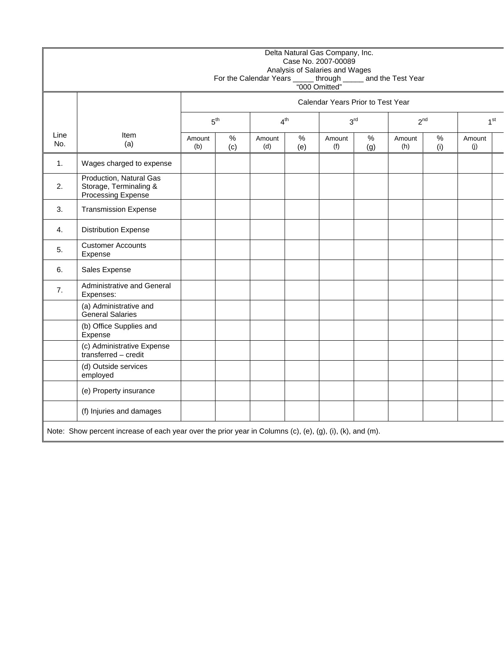|                |                                                                                                           |               |                                                                                      | For the Calendar Years ______ through ______ and the Test Year<br>"000 Omitted" |             | Delta Natural Gas Company, Inc.<br>Case No. 2007-00089<br>Analysis of Salaries and Wages |             |               |             |               |  |
|----------------|-----------------------------------------------------------------------------------------------------------|---------------|--------------------------------------------------------------------------------------|---------------------------------------------------------------------------------|-------------|------------------------------------------------------------------------------------------|-------------|---------------|-------------|---------------|--|
|                |                                                                                                           |               | Calendar Years Prior to Test Year                                                    |                                                                                 |             |                                                                                          |             |               |             |               |  |
|                |                                                                                                           |               | 5 <sup>th</sup><br>4 <sup>th</sup><br>3 <sup>rd</sup><br>$2^{nd}$<br>1 <sup>st</sup> |                                                                                 |             |                                                                                          |             |               |             |               |  |
| Line<br>No.    | Item<br>(a)                                                                                               | Amount<br>(b) | %<br>(c)                                                                             | Amount<br>(d)                                                                   | $\%$<br>(e) | Amount<br>(f)                                                                            | $\%$<br>(g) | Amount<br>(h) | $\%$<br>(i) | Amount<br>(j) |  |
| $\mathbf{1}$ . | Wages charged to expense                                                                                  |               |                                                                                      |                                                                                 |             |                                                                                          |             |               |             |               |  |
| 2.             | Production, Natural Gas<br>Storage, Terminaling &<br>Processing Expense                                   |               |                                                                                      |                                                                                 |             |                                                                                          |             |               |             |               |  |
| 3.             | <b>Transmission Expense</b>                                                                               |               |                                                                                      |                                                                                 |             |                                                                                          |             |               |             |               |  |
| 4.             | <b>Distribution Expense</b>                                                                               |               |                                                                                      |                                                                                 |             |                                                                                          |             |               |             |               |  |
| 5.             | <b>Customer Accounts</b><br>Expense                                                                       |               |                                                                                      |                                                                                 |             |                                                                                          |             |               |             |               |  |
| 6.             | Sales Expense                                                                                             |               |                                                                                      |                                                                                 |             |                                                                                          |             |               |             |               |  |
| 7.             | Administrative and General<br>Expenses:                                                                   |               |                                                                                      |                                                                                 |             |                                                                                          |             |               |             |               |  |
|                | (a) Administrative and<br><b>General Salaries</b>                                                         |               |                                                                                      |                                                                                 |             |                                                                                          |             |               |             |               |  |
|                | (b) Office Supplies and<br>Expense                                                                        |               |                                                                                      |                                                                                 |             |                                                                                          |             |               |             |               |  |
|                | (c) Administrative Expense<br>transferred - credit                                                        |               |                                                                                      |                                                                                 |             |                                                                                          |             |               |             |               |  |
|                | (d) Outside services<br>employed                                                                          |               |                                                                                      |                                                                                 |             |                                                                                          |             |               |             |               |  |
|                | (e) Property insurance                                                                                    |               |                                                                                      |                                                                                 |             |                                                                                          |             |               |             |               |  |
|                | (f) Injuries and damages                                                                                  |               |                                                                                      |                                                                                 |             |                                                                                          |             |               |             |               |  |
|                | Note: Show percent increase of each year over the prior year in Columns (c), (e), (g), (i), (k), and (m). |               |                                                                                      |                                                                                 |             |                                                                                          |             |               |             |               |  |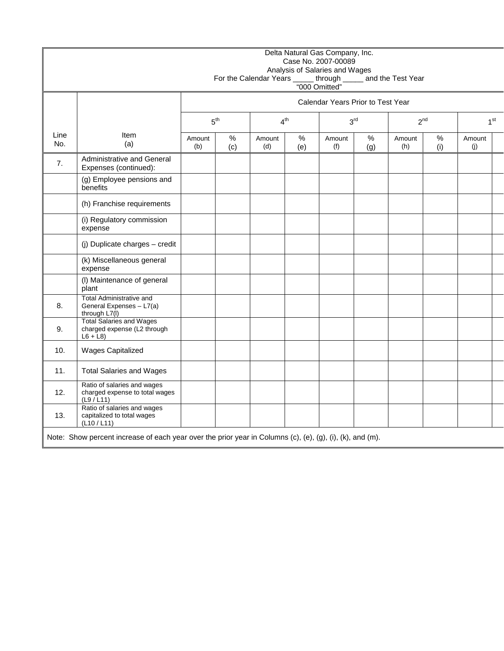|             |                                                                                                           |                                                                |             |               |             | Delta Natural Gas Company, Inc.<br>Case No. 2007-00089<br>Analysis of Salaries and Wages |             | For the Calendar Years ______ through _______ and the Test Year<br>"000 Omitted" |                 |               |  |
|-------------|-----------------------------------------------------------------------------------------------------------|----------------------------------------------------------------|-------------|---------------|-------------|------------------------------------------------------------------------------------------|-------------|----------------------------------------------------------------------------------|-----------------|---------------|--|
|             |                                                                                                           |                                                                |             |               |             | Calendar Years Prior to Test Year                                                        |             |                                                                                  |                 |               |  |
|             |                                                                                                           | $3^{\rm rd}$<br>$2^{nd}$<br>5 <sup>th</sup><br>4 <sup>th</sup> |             |               |             |                                                                                          |             |                                                                                  | 1 <sup>st</sup> |               |  |
| Line<br>No. | Item<br>(a)                                                                                               | Amount<br>(b)                                                  | $\%$<br>(c) | Amount<br>(d) | $\%$<br>(e) | Amount<br>(f)                                                                            | $\%$<br>(g) | Amount<br>(h)                                                                    | $\%$<br>(i)     | Amount<br>(j) |  |
| 7.          | Administrative and General<br>Expenses (continued):                                                       |                                                                |             |               |             |                                                                                          |             |                                                                                  |                 |               |  |
|             | (g) Employee pensions and<br>benefits                                                                     |                                                                |             |               |             |                                                                                          |             |                                                                                  |                 |               |  |
|             | (h) Franchise requirements                                                                                |                                                                |             |               |             |                                                                                          |             |                                                                                  |                 |               |  |
|             | (i) Regulatory commission<br>expense                                                                      |                                                                |             |               |             |                                                                                          |             |                                                                                  |                 |               |  |
|             | (j) Duplicate charges - credit                                                                            |                                                                |             |               |             |                                                                                          |             |                                                                                  |                 |               |  |
|             | (k) Miscellaneous general<br>expense                                                                      |                                                                |             |               |             |                                                                                          |             |                                                                                  |                 |               |  |
|             | (I) Maintenance of general<br>plant                                                                       |                                                                |             |               |             |                                                                                          |             |                                                                                  |                 |               |  |
| 8.          | <b>Total Administrative and</b><br>General Expenses - L7(a)<br>through L7(I)                              |                                                                |             |               |             |                                                                                          |             |                                                                                  |                 |               |  |
| 9.          | <b>Total Salaries and Wages</b><br>charged expense (L2 through<br>$L6 + L8$                               |                                                                |             |               |             |                                                                                          |             |                                                                                  |                 |               |  |
| 10.         | Wages Capitalized                                                                                         |                                                                |             |               |             |                                                                                          |             |                                                                                  |                 |               |  |
| 11.         | <b>Total Salaries and Wages</b>                                                                           |                                                                |             |               |             |                                                                                          |             |                                                                                  |                 |               |  |
| 12.         | Ratio of salaries and wages<br>charged expense to total wages<br>(L9 / L11)                               |                                                                |             |               |             |                                                                                          |             |                                                                                  |                 |               |  |
| 13.         | Ratio of salaries and wages<br>capitalized to total wages<br>(L10 / L11)                                  |                                                                |             |               |             |                                                                                          |             |                                                                                  |                 |               |  |
|             | Note: Show percent increase of each year over the prior year in Columns (c), (e), (g), (i), (k), and (m). |                                                                |             |               |             |                                                                                          |             |                                                                                  |                 |               |  |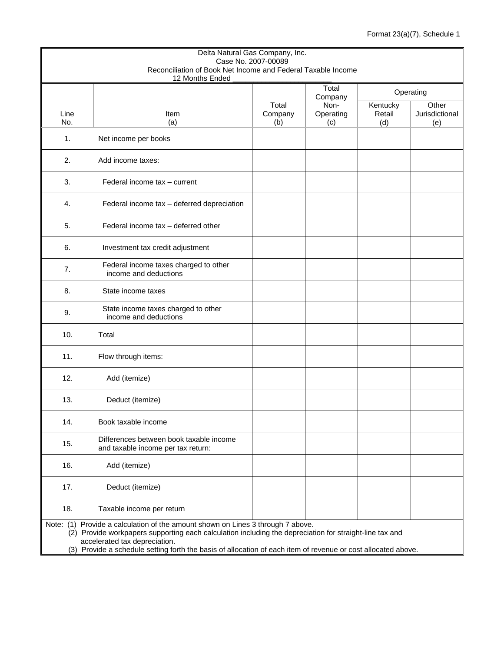| Delta Natural Gas Company, Inc.<br>Case No. 2007-00089 |                                                                                                                                                                                                                                                                                                                                              |                |                  |               |                       |  |  |  |  |
|--------------------------------------------------------|----------------------------------------------------------------------------------------------------------------------------------------------------------------------------------------------------------------------------------------------------------------------------------------------------------------------------------------------|----------------|------------------|---------------|-----------------------|--|--|--|--|
|                                                        | Reconciliation of Book Net Income and Federal Taxable Income                                                                                                                                                                                                                                                                                 |                |                  |               |                       |  |  |  |  |
|                                                        | 12 Months Ended                                                                                                                                                                                                                                                                                                                              |                |                  |               |                       |  |  |  |  |
|                                                        |                                                                                                                                                                                                                                                                                                                                              |                | Total<br>Company |               | Operating             |  |  |  |  |
|                                                        |                                                                                                                                                                                                                                                                                                                                              | Total          | Non-             | Kentucky      | $\overline{Other}$    |  |  |  |  |
| Line<br>No.                                            | Item<br>(a)                                                                                                                                                                                                                                                                                                                                  | Company<br>(b) | Operating<br>(c) | Retail<br>(d) | Jurisdictional<br>(e) |  |  |  |  |
|                                                        |                                                                                                                                                                                                                                                                                                                                              |                |                  |               |                       |  |  |  |  |
| 1.                                                     | Net income per books                                                                                                                                                                                                                                                                                                                         |                |                  |               |                       |  |  |  |  |
| 2.                                                     | Add income taxes:                                                                                                                                                                                                                                                                                                                            |                |                  |               |                       |  |  |  |  |
| 3.                                                     | Federal income tax - current                                                                                                                                                                                                                                                                                                                 |                |                  |               |                       |  |  |  |  |
| 4.                                                     | Federal income tax - deferred depreciation                                                                                                                                                                                                                                                                                                   |                |                  |               |                       |  |  |  |  |
| 5.                                                     | Federal income tax - deferred other                                                                                                                                                                                                                                                                                                          |                |                  |               |                       |  |  |  |  |
| 6.                                                     | Investment tax credit adjustment                                                                                                                                                                                                                                                                                                             |                |                  |               |                       |  |  |  |  |
| 7.                                                     | Federal income taxes charged to other<br>income and deductions                                                                                                                                                                                                                                                                               |                |                  |               |                       |  |  |  |  |
| 8.                                                     | State income taxes                                                                                                                                                                                                                                                                                                                           |                |                  |               |                       |  |  |  |  |
| 9.                                                     | State income taxes charged to other<br>income and deductions                                                                                                                                                                                                                                                                                 |                |                  |               |                       |  |  |  |  |
| 10.                                                    | Total                                                                                                                                                                                                                                                                                                                                        |                |                  |               |                       |  |  |  |  |
| 11.                                                    | Flow through items:                                                                                                                                                                                                                                                                                                                          |                |                  |               |                       |  |  |  |  |
| 12.                                                    | Add (itemize)                                                                                                                                                                                                                                                                                                                                |                |                  |               |                       |  |  |  |  |
| 13.                                                    | Deduct (itemize)                                                                                                                                                                                                                                                                                                                             |                |                  |               |                       |  |  |  |  |
| 14.                                                    | Book taxable income                                                                                                                                                                                                                                                                                                                          |                |                  |               |                       |  |  |  |  |
| 15.                                                    | Differences between book taxable income<br>and taxable income per tax return:                                                                                                                                                                                                                                                                |                |                  |               |                       |  |  |  |  |
| 16.                                                    | Add (itemize)                                                                                                                                                                                                                                                                                                                                |                |                  |               |                       |  |  |  |  |
| 17.                                                    | Deduct (itemize)                                                                                                                                                                                                                                                                                                                             |                |                  |               |                       |  |  |  |  |
| 18.                                                    | Taxable income per return                                                                                                                                                                                                                                                                                                                    |                |                  |               |                       |  |  |  |  |
|                                                        | Note: (1) Provide a calculation of the amount shown on Lines 3 through 7 above.<br>(2) Provide workpapers supporting each calculation including the depreciation for straight-line tax and<br>accelerated tax depreciation.<br>(3) Provide a schedule setting forth the basis of allocation of each item of revenue or cost allocated above. |                |                  |               |                       |  |  |  |  |
|                                                        |                                                                                                                                                                                                                                                                                                                                              |                |                  |               |                       |  |  |  |  |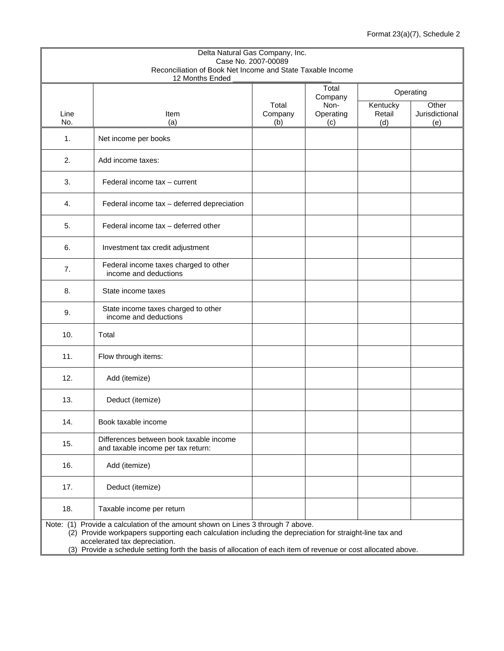| Delta Natural Gas Company, Inc.<br>Case No. 2007-00089                                                                                                                                                                                                                                                                                       |                                                                               |                |                  |               |                       |  |  |  |
|----------------------------------------------------------------------------------------------------------------------------------------------------------------------------------------------------------------------------------------------------------------------------------------------------------------------------------------------|-------------------------------------------------------------------------------|----------------|------------------|---------------|-----------------------|--|--|--|
|                                                                                                                                                                                                                                                                                                                                              | Reconciliation of Book Net Income and State Taxable Income                    |                |                  |               |                       |  |  |  |
|                                                                                                                                                                                                                                                                                                                                              | 12 Months Ended                                                               |                | Total            |               | Operating             |  |  |  |
|                                                                                                                                                                                                                                                                                                                                              |                                                                               | Total          | Company<br>Non-  | Kentucky      | Other                 |  |  |  |
| Line<br>No.                                                                                                                                                                                                                                                                                                                                  | Item<br>(a)                                                                   | Company<br>(b) | Operating<br>(c) | Retail<br>(d) | Jurisdictional<br>(e) |  |  |  |
| 1.                                                                                                                                                                                                                                                                                                                                           | Net income per books                                                          |                |                  |               |                       |  |  |  |
| 2.                                                                                                                                                                                                                                                                                                                                           | Add income taxes:                                                             |                |                  |               |                       |  |  |  |
| 3.                                                                                                                                                                                                                                                                                                                                           | Federal income tax - current                                                  |                |                  |               |                       |  |  |  |
| 4.                                                                                                                                                                                                                                                                                                                                           | Federal income tax - deferred depreciation                                    |                |                  |               |                       |  |  |  |
| 5.                                                                                                                                                                                                                                                                                                                                           | Federal income tax - deferred other                                           |                |                  |               |                       |  |  |  |
| 6.                                                                                                                                                                                                                                                                                                                                           | Investment tax credit adjustment                                              |                |                  |               |                       |  |  |  |
| 7.                                                                                                                                                                                                                                                                                                                                           | Federal income taxes charged to other<br>income and deductions                |                |                  |               |                       |  |  |  |
| 8.                                                                                                                                                                                                                                                                                                                                           | State income taxes                                                            |                |                  |               |                       |  |  |  |
| 9.                                                                                                                                                                                                                                                                                                                                           | State income taxes charged to other<br>income and deductions                  |                |                  |               |                       |  |  |  |
| 10.                                                                                                                                                                                                                                                                                                                                          | Total                                                                         |                |                  |               |                       |  |  |  |
| 11.                                                                                                                                                                                                                                                                                                                                          | Flow through items:                                                           |                |                  |               |                       |  |  |  |
| 12.                                                                                                                                                                                                                                                                                                                                          | Add (itemize)                                                                 |                |                  |               |                       |  |  |  |
| 13.                                                                                                                                                                                                                                                                                                                                          | Deduct (itemize)                                                              |                |                  |               |                       |  |  |  |
| 14.                                                                                                                                                                                                                                                                                                                                          | Book taxable income                                                           |                |                  |               |                       |  |  |  |
| 15.                                                                                                                                                                                                                                                                                                                                          | Differences between book taxable income<br>and taxable income per tax return: |                |                  |               |                       |  |  |  |
| 16.                                                                                                                                                                                                                                                                                                                                          | Add (itemize)                                                                 |                |                  |               |                       |  |  |  |
| 17.                                                                                                                                                                                                                                                                                                                                          | Deduct (itemize)                                                              |                |                  |               |                       |  |  |  |
| 18.                                                                                                                                                                                                                                                                                                                                          | Taxable income per return                                                     |                |                  |               |                       |  |  |  |
| Note: (1) Provide a calculation of the amount shown on Lines 3 through 7 above.<br>(2) Provide workpapers supporting each calculation including the depreciation for straight-line tax and<br>accelerated tax depreciation.<br>(3) Provide a schedule setting forth the basis of allocation of each item of revenue or cost allocated above. |                                                                               |                |                  |               |                       |  |  |  |
|                                                                                                                                                                                                                                                                                                                                              |                                                                               |                |                  |               |                       |  |  |  |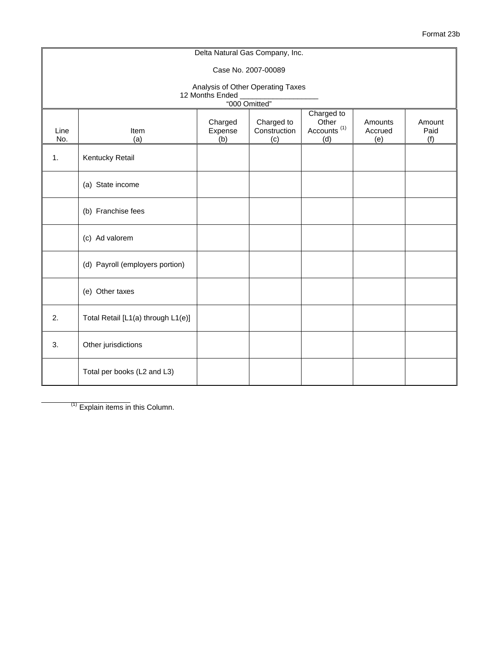|             |                                    |                           | Delta Natural Gas Company, Inc.                    |                                                       |                           |                       |
|-------------|------------------------------------|---------------------------|----------------------------------------------------|-------------------------------------------------------|---------------------------|-----------------------|
|             |                                    |                           | Case No. 2007-00089                                |                                                       |                           |                       |
|             |                                    | 12 Months Ended           | Analysis of Other Operating Taxes<br>"000 Omitted" |                                                       |                           |                       |
| Line<br>No. | Item<br>(a)                        | Charged<br>Expense<br>(b) | Charged to<br>Construction<br>(c)                  | Charged to<br>Other<br>Accounts <sup>(1)</sup><br>(d) | Amounts<br>Accrued<br>(e) | Amount<br>Paid<br>(f) |
| 1.          | Kentucky Retail                    |                           |                                                    |                                                       |                           |                       |
|             | (a) State income                   |                           |                                                    |                                                       |                           |                       |
|             | (b) Franchise fees                 |                           |                                                    |                                                       |                           |                       |
|             | (c) Ad valorem                     |                           |                                                    |                                                       |                           |                       |
|             | (d) Payroll (employers portion)    |                           |                                                    |                                                       |                           |                       |
|             | (e) Other taxes                    |                           |                                                    |                                                       |                           |                       |
| 2.          | Total Retail [L1(a) through L1(e)] |                           |                                                    |                                                       |                           |                       |
| 3.          | Other jurisdictions                |                           |                                                    |                                                       |                           |                       |
|             | Total per books (L2 and L3)        |                           |                                                    |                                                       |                           |                       |

 $(1)$  Explain items in this Column.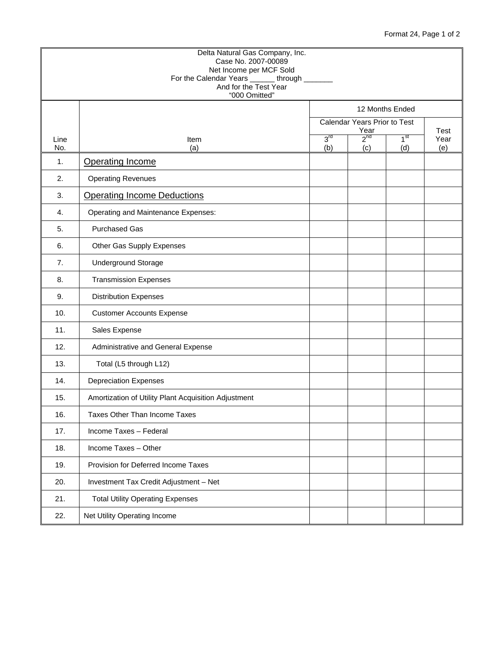### Format 24, Page 1 of 2

|             | Delta Natural Gas Company, Inc.<br>Case No. 2007-00089<br>Net Income per MCF Sold<br>For the Calendar Years _______ through ______<br>And for the Test Year<br>"000 Omitted" |                        |                                      |                        |                            |
|-------------|------------------------------------------------------------------------------------------------------------------------------------------------------------------------------|------------------------|--------------------------------------|------------------------|----------------------------|
|             |                                                                                                                                                                              |                        | 12 Months Ended                      |                        |                            |
|             |                                                                                                                                                                              |                        | Calendar Years Prior to Test<br>Year |                        |                            |
| Line<br>No. | Item<br>(a)                                                                                                                                                                  | 3 <sup>rd</sup><br>(b) | $2^{nd}$<br>(c)                      | 1 <sup>st</sup><br>(d) | <b>Test</b><br>Year<br>(e) |
| 1.          | <b>Operating Income</b>                                                                                                                                                      |                        |                                      |                        |                            |
| 2.          | <b>Operating Revenues</b>                                                                                                                                                    |                        |                                      |                        |                            |
| 3.          | <b>Operating Income Deductions</b>                                                                                                                                           |                        |                                      |                        |                            |
| 4.          | Operating and Maintenance Expenses:                                                                                                                                          |                        |                                      |                        |                            |
| 5.          | <b>Purchased Gas</b>                                                                                                                                                         |                        |                                      |                        |                            |
| 6.          | Other Gas Supply Expenses                                                                                                                                                    |                        |                                      |                        |                            |
| 7.          | Underground Storage                                                                                                                                                          |                        |                                      |                        |                            |
| 8.          | <b>Transmission Expenses</b>                                                                                                                                                 |                        |                                      |                        |                            |
| 9.          | <b>Distribution Expenses</b>                                                                                                                                                 |                        |                                      |                        |                            |
| 10.         | <b>Customer Accounts Expense</b>                                                                                                                                             |                        |                                      |                        |                            |
| 11.         | Sales Expense                                                                                                                                                                |                        |                                      |                        |                            |
| 12.         | Administrative and General Expense                                                                                                                                           |                        |                                      |                        |                            |
| 13.         | Total (L5 through L12)                                                                                                                                                       |                        |                                      |                        |                            |
| 14.         | <b>Depreciation Expenses</b>                                                                                                                                                 |                        |                                      |                        |                            |
| 15.         | Amortization of Utility Plant Acquisition Adjustment                                                                                                                         |                        |                                      |                        |                            |
| 16.         | <b>Taxes Other Than Income Taxes</b>                                                                                                                                         |                        |                                      |                        |                            |
| 17.         | Income Taxes - Federal                                                                                                                                                       |                        |                                      |                        |                            |
| 18.         | Income Taxes - Other                                                                                                                                                         |                        |                                      |                        |                            |
| 19.         | Provision for Deferred Income Taxes                                                                                                                                          |                        |                                      |                        |                            |
| 20.         | Investment Tax Credit Adjustment - Net                                                                                                                                       |                        |                                      |                        |                            |
| 21.         | <b>Total Utility Operating Expenses</b>                                                                                                                                      |                        |                                      |                        |                            |
| 22.         | Net Utility Operating Income                                                                                                                                                 |                        |                                      |                        |                            |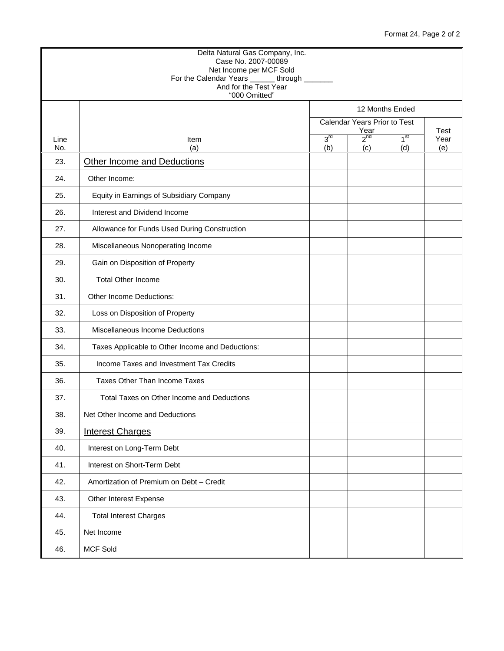### Format 24, Page 2 of 2

|             | "000 Omitted"                                    |                        | 12 Months Ended              |                 |                     |
|-------------|--------------------------------------------------|------------------------|------------------------------|-----------------|---------------------|
|             |                                                  |                        | Calendar Years Prior to Test |                 |                     |
| Line<br>No. | Item<br>(a)                                      | 3 <sup>rd</sup><br>(b) | Year<br>$2^{nd}$             | 1 <sup>st</sup> | Test<br>Year<br>(e) |
| 23.         | Other Income and Deductions                      |                        | (c)                          | (d)             |                     |
| 24.         | Other Income:                                    |                        |                              |                 |                     |
| 25.         | Equity in Earnings of Subsidiary Company         |                        |                              |                 |                     |
| 26.         | Interest and Dividend Income                     |                        |                              |                 |                     |
| 27.         | Allowance for Funds Used During Construction     |                        |                              |                 |                     |
| 28.         | Miscellaneous Nonoperating Income                |                        |                              |                 |                     |
| 29.         | Gain on Disposition of Property                  |                        |                              |                 |                     |
| 30.         | <b>Total Other Income</b>                        |                        |                              |                 |                     |
| 31.         | Other Income Deductions:                         |                        |                              |                 |                     |
| 32.         | Loss on Disposition of Property                  |                        |                              |                 |                     |
| 33.         | Miscellaneous Income Deductions                  |                        |                              |                 |                     |
| 34.         | Taxes Applicable to Other Income and Deductions: |                        |                              |                 |                     |
| 35.         | Income Taxes and Investment Tax Credits          |                        |                              |                 |                     |
| 36.         | Taxes Other Than Income Taxes                    |                        |                              |                 |                     |
| 37.         | Total Taxes on Other Income and Deductions       |                        |                              |                 |                     |
| 38.         | Net Other Income and Deductions                  |                        |                              |                 |                     |
| 39.         | <b>Interest Charges</b>                          |                        |                              |                 |                     |
| 40.         | Interest on Long-Term Debt                       |                        |                              |                 |                     |
| 41.         | Interest on Short-Term Debt                      |                        |                              |                 |                     |
| 42.         | Amortization of Premium on Debt - Credit         |                        |                              |                 |                     |
| 43.         | Other Interest Expense                           |                        |                              |                 |                     |
| 44.         | <b>Total Interest Charges</b>                    |                        |                              |                 |                     |
| 45.         | Net Income                                       |                        |                              |                 |                     |
|             |                                                  |                        |                              |                 |                     |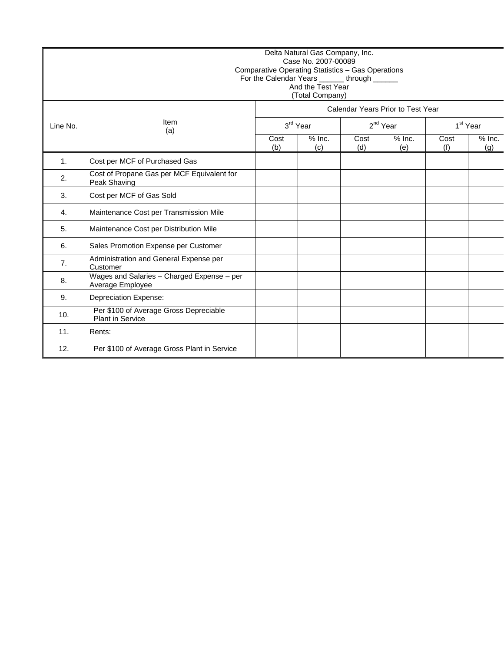|                | Delta Natural Gas Company, Inc.<br>Case No. 2007-00089<br>Comparative Operating Statistics - Gas Operations<br>For the Calendar Years _______ through ______<br>And the Test Year<br>(Total Company) |             |                 |             |                                   |                      |                 |  |  |  |
|----------------|------------------------------------------------------------------------------------------------------------------------------------------------------------------------------------------------------|-------------|-----------------|-------------|-----------------------------------|----------------------|-----------------|--|--|--|
|                | Item<br>(a)                                                                                                                                                                                          |             |                 |             | Calendar Years Prior to Test Year |                      |                 |  |  |  |
| Line No.       |                                                                                                                                                                                                      |             | 3rd Year        |             | 2 <sup>nd</sup> Year              | 1 <sup>st</sup> Year |                 |  |  |  |
|                |                                                                                                                                                                                                      | Cost<br>(b) | $%$ Inc.<br>(c) | Cost<br>(d) | $%$ Inc.<br>(e)                   | Cost<br>(f)          | $%$ Inc.<br>(q) |  |  |  |
| $\mathbf{1}$ . | Cost per MCF of Purchased Gas                                                                                                                                                                        |             |                 |             |                                   |                      |                 |  |  |  |
| 2.             | Cost of Propane Gas per MCF Equivalent for<br>Peak Shaving                                                                                                                                           |             |                 |             |                                   |                      |                 |  |  |  |
| 3.             | Cost per MCF of Gas Sold                                                                                                                                                                             |             |                 |             |                                   |                      |                 |  |  |  |
| 4.             | Maintenance Cost per Transmission Mile                                                                                                                                                               |             |                 |             |                                   |                      |                 |  |  |  |
| 5.             | Maintenance Cost per Distribution Mile                                                                                                                                                               |             |                 |             |                                   |                      |                 |  |  |  |
| 6.             | Sales Promotion Expense per Customer                                                                                                                                                                 |             |                 |             |                                   |                      |                 |  |  |  |
| 7.             | Administration and General Expense per<br>Customer                                                                                                                                                   |             |                 |             |                                   |                      |                 |  |  |  |
| 8.             | Wages and Salaries - Charged Expense - per<br>Average Employee                                                                                                                                       |             |                 |             |                                   |                      |                 |  |  |  |
| 9.             | <b>Depreciation Expense:</b>                                                                                                                                                                         |             |                 |             |                                   |                      |                 |  |  |  |
| 10.            | Per \$100 of Average Gross Depreciable<br><b>Plant in Service</b>                                                                                                                                    |             |                 |             |                                   |                      |                 |  |  |  |
| 11.            | Rents:                                                                                                                                                                                               |             |                 |             |                                   |                      |                 |  |  |  |
| 12.            | Per \$100 of Average Gross Plant in Service                                                                                                                                                          |             |                 |             |                                   |                      |                 |  |  |  |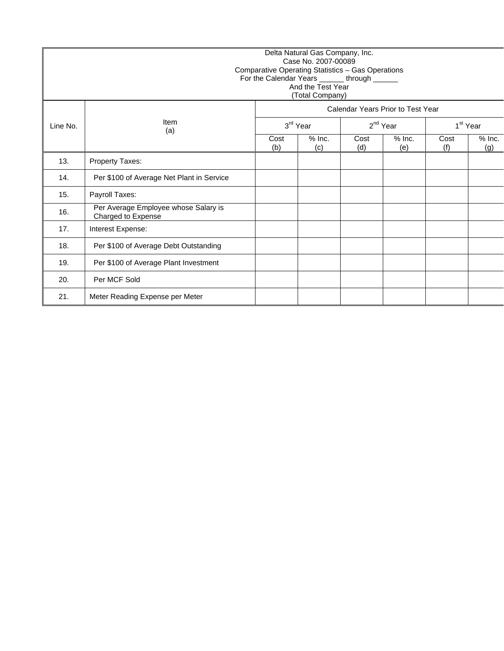|          | Delta Natural Gas Company, Inc.<br>Case No. 2007-00089<br>Comparative Operating Statistics - Gas Operations<br>For the Calendar Years ______ through ______<br>And the Test Year<br>(Total Company)<br>Calendar Years Prior to Test Year |                 |             |                 |               |                      |  |  |  |  |
|----------|------------------------------------------------------------------------------------------------------------------------------------------------------------------------------------------------------------------------------------------|-----------------|-------------|-----------------|---------------|----------------------|--|--|--|--|
|          |                                                                                                                                                                                                                                          |                 |             |                 |               |                      |  |  |  |  |
| Line No. | Item<br>(a)                                                                                                                                                                                                                              |                 | 3rd Year    |                 | $2^{nd}$ Year | 1 <sup>st</sup> Year |  |  |  |  |
|          | Cost<br>(b)                                                                                                                                                                                                                              | $%$ Inc.<br>(c) | Cost<br>(d) | $%$ Inc.<br>(e) | Cost<br>(f)   | $%$ Inc.<br>(g)      |  |  |  |  |
| 13.      | Property Taxes:                                                                                                                                                                                                                          |                 |             |                 |               |                      |  |  |  |  |
| 14.      | Per \$100 of Average Net Plant in Service                                                                                                                                                                                                |                 |             |                 |               |                      |  |  |  |  |
| 15.      | Payroll Taxes:                                                                                                                                                                                                                           |                 |             |                 |               |                      |  |  |  |  |
| 16.      | Per Average Employee whose Salary is<br>Charged to Expense                                                                                                                                                                               |                 |             |                 |               |                      |  |  |  |  |
| 17.      | Interest Expense:                                                                                                                                                                                                                        |                 |             |                 |               |                      |  |  |  |  |
| 18.      | Per \$100 of Average Debt Outstanding                                                                                                                                                                                                    |                 |             |                 |               |                      |  |  |  |  |
| 19.      | Per \$100 of Average Plant Investment                                                                                                                                                                                                    |                 |             |                 |               |                      |  |  |  |  |
| 20.      | Per MCF Sold                                                                                                                                                                                                                             |                 |             |                 |               |                      |  |  |  |  |
| 21.      | Meter Reading Expense per Meter                                                                                                                                                                                                          |                 |             |                 |               |                      |  |  |  |  |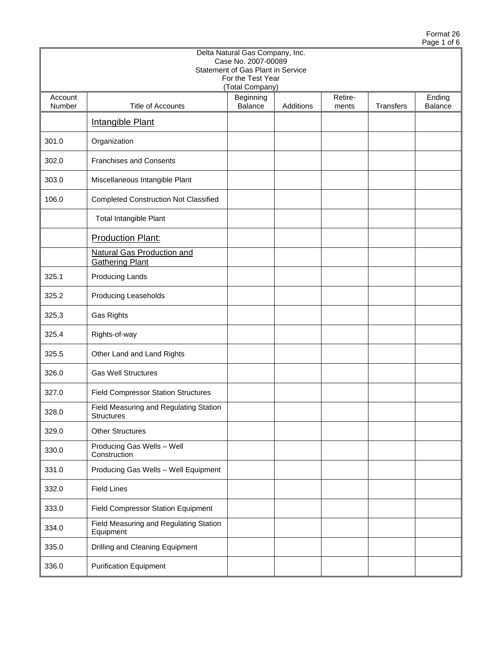|                   |                                                             | Delta Natural Gas Company, Inc.<br>Case No. 2007-00089<br>Statement of Gas Plant in Service |           |                  |                  |                          |
|-------------------|-------------------------------------------------------------|---------------------------------------------------------------------------------------------|-----------|------------------|------------------|--------------------------|
|                   |                                                             | For the Test Year<br>(Total Company)                                                        |           |                  |                  |                          |
| Account<br>Number | Title of Accounts                                           | Beginning<br>Balance                                                                        | Additions | Retire-<br>ments | <b>Transfers</b> | Ending<br><b>Balance</b> |
|                   | <b>Intangible Plant</b>                                     |                                                                                             |           |                  |                  |                          |
| 301.0             | Organization                                                |                                                                                             |           |                  |                  |                          |
| 302.0             | <b>Franchises and Consents</b>                              |                                                                                             |           |                  |                  |                          |
| 303.0             | Miscellaneous Intangible Plant                              |                                                                                             |           |                  |                  |                          |
| 106.0             | <b>Completed Construction Not Classified</b>                |                                                                                             |           |                  |                  |                          |
|                   | Total Intangible Plant                                      |                                                                                             |           |                  |                  |                          |
|                   | <b>Production Plant:</b>                                    |                                                                                             |           |                  |                  |                          |
|                   | <b>Natural Gas Production and</b><br><b>Gathering Plant</b> |                                                                                             |           |                  |                  |                          |
| 325.1             | <b>Producing Lands</b>                                      |                                                                                             |           |                  |                  |                          |
| 325.2             | Producing Leaseholds                                        |                                                                                             |           |                  |                  |                          |
| 325.3             | <b>Gas Rights</b>                                           |                                                                                             |           |                  |                  |                          |
| 325.4             | Rights-of-way                                               |                                                                                             |           |                  |                  |                          |
| 325.5             | Other Land and Land Rights                                  |                                                                                             |           |                  |                  |                          |
| 326.0             | <b>Gas Well Structures</b>                                  |                                                                                             |           |                  |                  |                          |
| 327.0             | <b>Field Compressor Station Structures</b>                  |                                                                                             |           |                  |                  |                          |
| 328.0             | Field Measuring and Regulating Station<br>Structures        |                                                                                             |           |                  |                  |                          |
| 329.0             | <b>Other Structures</b>                                     |                                                                                             |           |                  |                  |                          |
| 330.0             | Producing Gas Wells - Well<br>Construction                  |                                                                                             |           |                  |                  |                          |
| 331.0             | Producing Gas Wells - Well Equipment                        |                                                                                             |           |                  |                  |                          |
| 332.0             | <b>Field Lines</b>                                          |                                                                                             |           |                  |                  |                          |
| 333.0             | Field Compressor Station Equipment                          |                                                                                             |           |                  |                  |                          |
| 334.0             | Field Measuring and Regulating Station<br>Equipment         |                                                                                             |           |                  |                  |                          |
| 335.0             | Drilling and Cleaning Equipment                             |                                                                                             |           |                  |                  |                          |
| 336.0             | <b>Purification Equipment</b>                               |                                                                                             |           |                  |                  |                          |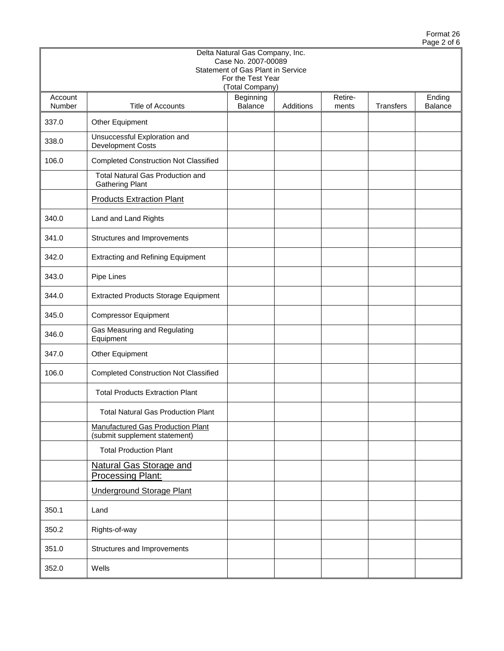|                   |                                                                           | Delta Natural Gas Company, Inc.<br>Case No. 2007-00089 |           |                  |           |                   |
|-------------------|---------------------------------------------------------------------------|--------------------------------------------------------|-----------|------------------|-----------|-------------------|
|                   |                                                                           | Statement of Gas Plant in Service<br>For the Test Year |           |                  |           |                   |
| Account<br>Number | Title of Accounts                                                         | (Total Company)<br>Beginning<br>Balance                | Additions | Retire-<br>ments | Transfers | Ending<br>Balance |
| 337.0             | Other Equipment                                                           |                                                        |           |                  |           |                   |
| 338.0             | Unsuccessful Exploration and<br><b>Development Costs</b>                  |                                                        |           |                  |           |                   |
| 106.0             | <b>Completed Construction Not Classified</b>                              |                                                        |           |                  |           |                   |
|                   | <b>Total Natural Gas Production and</b><br><b>Gathering Plant</b>         |                                                        |           |                  |           |                   |
|                   | <b>Products Extraction Plant</b>                                          |                                                        |           |                  |           |                   |
| 340.0             | Land and Land Rights                                                      |                                                        |           |                  |           |                   |
| 341.0             | Structures and Improvements                                               |                                                        |           |                  |           |                   |
| 342.0             | <b>Extracting and Refining Equipment</b>                                  |                                                        |           |                  |           |                   |
| 343.0             | Pipe Lines                                                                |                                                        |           |                  |           |                   |
| 344.0             | <b>Extracted Products Storage Equipment</b>                               |                                                        |           |                  |           |                   |
| 345.0             | <b>Compressor Equipment</b>                                               |                                                        |           |                  |           |                   |
| 346.0             | Gas Measuring and Regulating<br>Equipment                                 |                                                        |           |                  |           |                   |
| 347.0             | Other Equipment                                                           |                                                        |           |                  |           |                   |
| 106.0             | <b>Completed Construction Not Classified</b>                              |                                                        |           |                  |           |                   |
|                   | <b>Total Products Extraction Plant</b>                                    |                                                        |           |                  |           |                   |
|                   | <b>Total Natural Gas Production Plant</b>                                 |                                                        |           |                  |           |                   |
|                   | <b>Manufactured Gas Production Plant</b><br>(submit supplement statement) |                                                        |           |                  |           |                   |
|                   | <b>Total Production Plant</b>                                             |                                                        |           |                  |           |                   |
|                   | <b>Natural Gas Storage and</b><br><b>Processing Plant:</b>                |                                                        |           |                  |           |                   |
|                   | <b>Underground Storage Plant</b>                                          |                                                        |           |                  |           |                   |
| 350.1             | Land                                                                      |                                                        |           |                  |           |                   |
| 350.2             | Rights-of-way                                                             |                                                        |           |                  |           |                   |
| 351.0             | Structures and Improvements                                               |                                                        |           |                  |           |                   |
| 352.0             | Wells                                                                     |                                                        |           |                  |           |                   |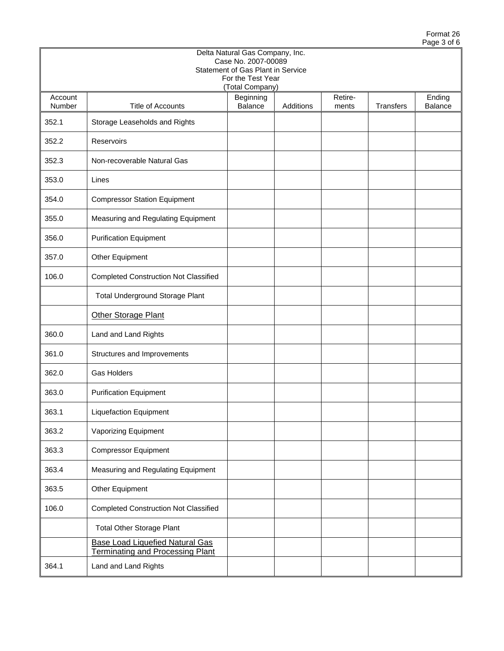|                   |                                                                                   | Delta Natural Gas Company, Inc.<br>Case No. 2007-00089<br>Statement of Gas Plant in Service<br>For the Test Year |           |                  |                  |                          |
|-------------------|-----------------------------------------------------------------------------------|------------------------------------------------------------------------------------------------------------------|-----------|------------------|------------------|--------------------------|
|                   |                                                                                   | (Total Company)                                                                                                  |           |                  |                  |                          |
| Account<br>Number | Title of Accounts                                                                 | Beginning<br>Balance                                                                                             | Additions | Retire-<br>ments | <b>Transfers</b> | Ending<br><b>Balance</b> |
| 352.1             | Storage Leaseholds and Rights                                                     |                                                                                                                  |           |                  |                  |                          |
| 352.2             | Reservoirs                                                                        |                                                                                                                  |           |                  |                  |                          |
| 352.3             | Non-recoverable Natural Gas                                                       |                                                                                                                  |           |                  |                  |                          |
| 353.0             | Lines                                                                             |                                                                                                                  |           |                  |                  |                          |
| 354.0             | <b>Compressor Station Equipment</b>                                               |                                                                                                                  |           |                  |                  |                          |
| 355.0             | Measuring and Regulating Equipment                                                |                                                                                                                  |           |                  |                  |                          |
| 356.0             | <b>Purification Equipment</b>                                                     |                                                                                                                  |           |                  |                  |                          |
| 357.0             | Other Equipment                                                                   |                                                                                                                  |           |                  |                  |                          |
| 106.0             | <b>Completed Construction Not Classified</b>                                      |                                                                                                                  |           |                  |                  |                          |
|                   | Total Underground Storage Plant                                                   |                                                                                                                  |           |                  |                  |                          |
|                   | <b>Other Storage Plant</b>                                                        |                                                                                                                  |           |                  |                  |                          |
| 360.0             | Land and Land Rights                                                              |                                                                                                                  |           |                  |                  |                          |
| 361.0             | Structures and Improvements                                                       |                                                                                                                  |           |                  |                  |                          |
| 362.0             | <b>Gas Holders</b>                                                                |                                                                                                                  |           |                  |                  |                          |
| 363.0             | <b>Purification Equipment</b>                                                     |                                                                                                                  |           |                  |                  |                          |
| 363.1             | <b>Liquefaction Equipment</b>                                                     |                                                                                                                  |           |                  |                  |                          |
| 363.2             | Vaporizing Equipment                                                              |                                                                                                                  |           |                  |                  |                          |
| 363.3             | <b>Compressor Equipment</b>                                                       |                                                                                                                  |           |                  |                  |                          |
| 363.4             | Measuring and Regulating Equipment                                                |                                                                                                                  |           |                  |                  |                          |
| 363.5             | Other Equipment                                                                   |                                                                                                                  |           |                  |                  |                          |
| 106.0             | <b>Completed Construction Not Classified</b>                                      |                                                                                                                  |           |                  |                  |                          |
|                   | <b>Total Other Storage Plant</b>                                                  |                                                                                                                  |           |                  |                  |                          |
|                   | <b>Base Load Liquefied Natural Gas</b><br><b>Terminating and Processing Plant</b> |                                                                                                                  |           |                  |                  |                          |
| 364.1             | Land and Land Rights                                                              |                                                                                                                  |           |                  |                  |                          |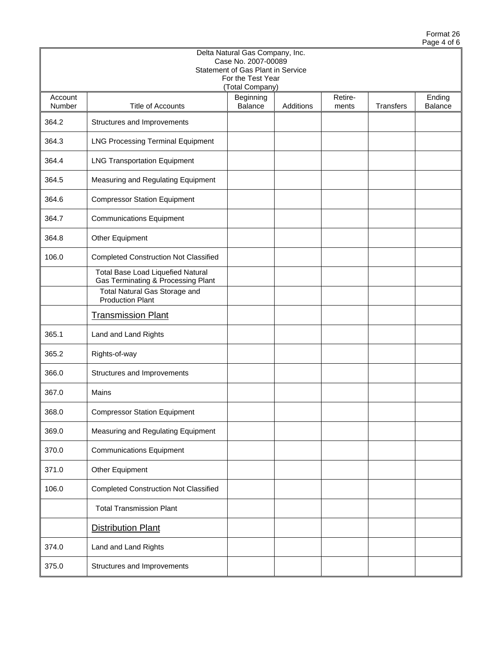|                   |                                                                         | Delta Natural Gas Company, Inc.<br>Case No. 2007-00089 |           |                  |                  |                          |
|-------------------|-------------------------------------------------------------------------|--------------------------------------------------------|-----------|------------------|------------------|--------------------------|
|                   |                                                                         | Statement of Gas Plant in Service<br>For the Test Year |           |                  |                  |                          |
|                   |                                                                         | (Total Company)                                        |           |                  |                  |                          |
| Account<br>Number | <b>Title of Accounts</b>                                                | Beginning<br><b>Balance</b>                            | Additions | Retire-<br>ments | <b>Transfers</b> | Ending<br><b>Balance</b> |
| 364.2             | Structures and Improvements                                             |                                                        |           |                  |                  |                          |
| 364.3             | <b>LNG Processing Terminal Equipment</b>                                |                                                        |           |                  |                  |                          |
| 364.4             | <b>LNG Transportation Equipment</b>                                     |                                                        |           |                  |                  |                          |
| 364.5             | Measuring and Regulating Equipment                                      |                                                        |           |                  |                  |                          |
| 364.6             | <b>Compressor Station Equipment</b>                                     |                                                        |           |                  |                  |                          |
| 364.7             | <b>Communications Equipment</b>                                         |                                                        |           |                  |                  |                          |
| 364.8             | Other Equipment                                                         |                                                        |           |                  |                  |                          |
| 106.0             | <b>Completed Construction Not Classified</b>                            |                                                        |           |                  |                  |                          |
|                   | Total Base Load Liquefied Natural<br>Gas Terminating & Processing Plant |                                                        |           |                  |                  |                          |
|                   | Total Natural Gas Storage and<br><b>Production Plant</b>                |                                                        |           |                  |                  |                          |
|                   | <b>Transmission Plant</b>                                               |                                                        |           |                  |                  |                          |
| 365.1             | Land and Land Rights                                                    |                                                        |           |                  |                  |                          |
| 365.2             | Rights-of-way                                                           |                                                        |           |                  |                  |                          |
| 366.0             | Structures and Improvements                                             |                                                        |           |                  |                  |                          |
| 367.0             | Mains                                                                   |                                                        |           |                  |                  |                          |
| 368.0             | <b>Compressor Station Equipment</b>                                     |                                                        |           |                  |                  |                          |
| 369.0             | Measuring and Regulating Equipment                                      |                                                        |           |                  |                  |                          |
| 370.0             | <b>Communications Equipment</b>                                         |                                                        |           |                  |                  |                          |
| 371.0             | Other Equipment                                                         |                                                        |           |                  |                  |                          |
| 106.0             | <b>Completed Construction Not Classified</b>                            |                                                        |           |                  |                  |                          |
|                   | <b>Total Transmission Plant</b>                                         |                                                        |           |                  |                  |                          |
|                   | <b>Distribution Plant</b>                                               |                                                        |           |                  |                  |                          |
| 374.0             | Land and Land Rights                                                    |                                                        |           |                  |                  |                          |
| 375.0             | Structures and Improvements                                             |                                                        |           |                  |                  |                          |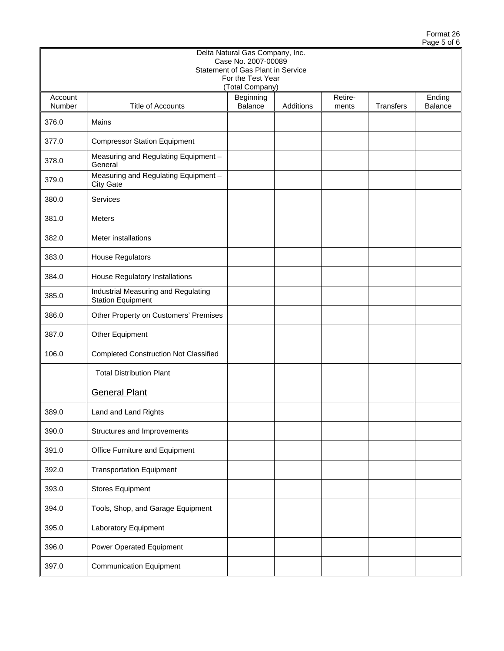|                   |                                                                 | Delta Natural Gas Company, Inc.<br>Case No. 2007-00089 |           |                  |           |                   |
|-------------------|-----------------------------------------------------------------|--------------------------------------------------------|-----------|------------------|-----------|-------------------|
|                   |                                                                 | Statement of Gas Plant in Service<br>For the Test Year |           |                  |           |                   |
|                   |                                                                 | (Total Company)                                        |           |                  |           |                   |
| Account<br>Number | <b>Title of Accounts</b>                                        | Beginning<br>Balance                                   | Additions | Retire-<br>ments | Transfers | Ending<br>Balance |
| 376.0             | Mains                                                           |                                                        |           |                  |           |                   |
| 377.0             | <b>Compressor Station Equipment</b>                             |                                                        |           |                  |           |                   |
| 378.0             | Measuring and Regulating Equipment -<br>General                 |                                                        |           |                  |           |                   |
| 379.0             | Measuring and Regulating Equipment -<br><b>City Gate</b>        |                                                        |           |                  |           |                   |
| 380.0             | Services                                                        |                                                        |           |                  |           |                   |
| 381.0             | <b>Meters</b>                                                   |                                                        |           |                  |           |                   |
| 382.0             | Meter installations                                             |                                                        |           |                  |           |                   |
| 383.0             | <b>House Regulators</b>                                         |                                                        |           |                  |           |                   |
| 384.0             | House Regulatory Installations                                  |                                                        |           |                  |           |                   |
| 385.0             | Industrial Measuring and Regulating<br><b>Station Equipment</b> |                                                        |           |                  |           |                   |
| 386.0             | Other Property on Customers' Premises                           |                                                        |           |                  |           |                   |
| 387.0             | Other Equipment                                                 |                                                        |           |                  |           |                   |
| 106.0             | <b>Completed Construction Not Classified</b>                    |                                                        |           |                  |           |                   |
|                   | <b>Total Distribution Plant</b>                                 |                                                        |           |                  |           |                   |
|                   | <b>General Plant</b>                                            |                                                        |           |                  |           |                   |
| 389.0             | Land and Land Rights                                            |                                                        |           |                  |           |                   |
| 390.0             | Structures and Improvements                                     |                                                        |           |                  |           |                   |
| 391.0             | Office Furniture and Equipment                                  |                                                        |           |                  |           |                   |
| 392.0             | <b>Transportation Equipment</b>                                 |                                                        |           |                  |           |                   |
| 393.0             | <b>Stores Equipment</b>                                         |                                                        |           |                  |           |                   |
| 394.0             | Tools, Shop, and Garage Equipment                               |                                                        |           |                  |           |                   |
| 395.0             | Laboratory Equipment                                            |                                                        |           |                  |           |                   |
| 396.0             | Power Operated Equipment                                        |                                                        |           |                  |           |                   |
| 397.0             | <b>Communication Equipment</b>                                  |                                                        |           |                  |           |                   |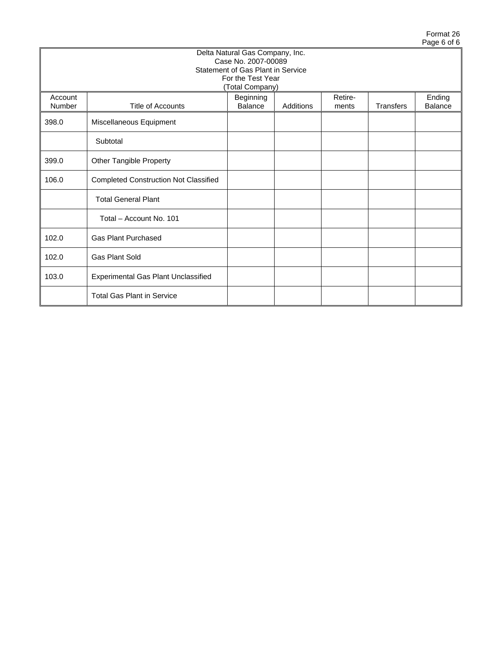|                   |                                                                                                                                     |  |  |  |  | . |  |  |  |  |  |  |
|-------------------|-------------------------------------------------------------------------------------------------------------------------------------|--|--|--|--|---|--|--|--|--|--|--|
|                   | Delta Natural Gas Company, Inc.<br>Case No. 2007-00089<br>Statement of Gas Plant in Service<br>For the Test Year<br>(Total Company) |  |  |  |  |   |  |  |  |  |  |  |
| Account<br>Number | Retire-<br>Beginning<br>Ending<br>Balance<br>Transfers<br><b>Title of Accounts</b><br>Additions<br><b>Balance</b><br>ments          |  |  |  |  |   |  |  |  |  |  |  |
| 398.0             | Miscellaneous Equipment                                                                                                             |  |  |  |  |   |  |  |  |  |  |  |
|                   | Subtotal                                                                                                                            |  |  |  |  |   |  |  |  |  |  |  |
| 399.0             | Other Tangible Property                                                                                                             |  |  |  |  |   |  |  |  |  |  |  |
| 106.0             | <b>Completed Construction Not Classified</b>                                                                                        |  |  |  |  |   |  |  |  |  |  |  |
|                   | <b>Total General Plant</b>                                                                                                          |  |  |  |  |   |  |  |  |  |  |  |
|                   | Total - Account No. 101                                                                                                             |  |  |  |  |   |  |  |  |  |  |  |
| 102.0             | <b>Gas Plant Purchased</b>                                                                                                          |  |  |  |  |   |  |  |  |  |  |  |
| 102.0             | <b>Gas Plant Sold</b>                                                                                                               |  |  |  |  |   |  |  |  |  |  |  |
| 103.0             | <b>Experimental Gas Plant Unclassified</b>                                                                                          |  |  |  |  |   |  |  |  |  |  |  |
|                   | <b>Total Gas Plant in Service</b>                                                                                                   |  |  |  |  |   |  |  |  |  |  |  |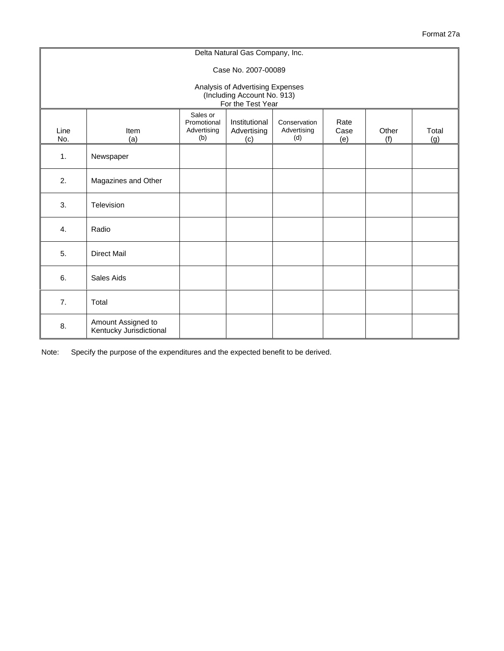|                                                                                      |                                               |                                               | Delta Natural Gas Company, Inc.     |                                    |                     |              |              |  |  |  |  |  |
|--------------------------------------------------------------------------------------|-----------------------------------------------|-----------------------------------------------|-------------------------------------|------------------------------------|---------------------|--------------|--------------|--|--|--|--|--|
|                                                                                      |                                               |                                               | Case No. 2007-00089                 |                                    |                     |              |              |  |  |  |  |  |
| Analysis of Advertising Expenses<br>(Including Account No. 913)<br>For the Test Year |                                               |                                               |                                     |                                    |                     |              |              |  |  |  |  |  |
| Line<br>No.                                                                          | Item<br>(a)                                   | Sales or<br>Promotional<br>Advertising<br>(b) | Institutional<br>Advertising<br>(c) | Conservation<br>Advertising<br>(d) | Rate<br>Case<br>(e) | Other<br>(f) | Total<br>(g) |  |  |  |  |  |
| $\mathbf{1}$ .                                                                       | Newspaper                                     |                                               |                                     |                                    |                     |              |              |  |  |  |  |  |
| 2.                                                                                   | Magazines and Other                           |                                               |                                     |                                    |                     |              |              |  |  |  |  |  |
| 3.                                                                                   | Television                                    |                                               |                                     |                                    |                     |              |              |  |  |  |  |  |
| 4.                                                                                   | Radio                                         |                                               |                                     |                                    |                     |              |              |  |  |  |  |  |
| 5.                                                                                   | <b>Direct Mail</b>                            |                                               |                                     |                                    |                     |              |              |  |  |  |  |  |
| 6.                                                                                   | Sales Aids                                    |                                               |                                     |                                    |                     |              |              |  |  |  |  |  |
| 7.                                                                                   | Total                                         |                                               |                                     |                                    |                     |              |              |  |  |  |  |  |
| 8.                                                                                   | Amount Assigned to<br>Kentucky Jurisdictional |                                               |                                     |                                    |                     |              |              |  |  |  |  |  |

Note: Specify the purpose of the expenditures and the expected benefit to be derived.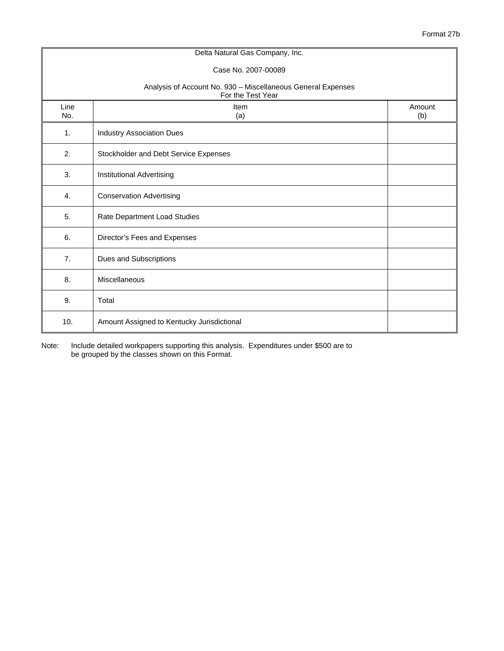|                                                                                   | Delta Natural Gas Company, Inc.            |               |  |  |  |  |  |  |  |
|-----------------------------------------------------------------------------------|--------------------------------------------|---------------|--|--|--|--|--|--|--|
|                                                                                   | Case No. 2007-00089                        |               |  |  |  |  |  |  |  |
| Analysis of Account No. 930 - Miscellaneous General Expenses<br>For the Test Year |                                            |               |  |  |  |  |  |  |  |
| Line<br>No.                                                                       | Item<br>(a)                                | Amount<br>(b) |  |  |  |  |  |  |  |
| 1.                                                                                | <b>Industry Association Dues</b>           |               |  |  |  |  |  |  |  |
| 2.                                                                                | Stockholder and Debt Service Expenses      |               |  |  |  |  |  |  |  |
| 3.                                                                                | Institutional Advertising                  |               |  |  |  |  |  |  |  |
| $\mathbf{4}$ .                                                                    | <b>Conservation Advertising</b>            |               |  |  |  |  |  |  |  |
| 5.                                                                                | Rate Department Load Studies               |               |  |  |  |  |  |  |  |
| 6.                                                                                | Director's Fees and Expenses               |               |  |  |  |  |  |  |  |
| 7.                                                                                | Dues and Subscriptions                     |               |  |  |  |  |  |  |  |
| 8.                                                                                | Miscellaneous                              |               |  |  |  |  |  |  |  |
| 9.                                                                                | Total                                      |               |  |  |  |  |  |  |  |
| 10.                                                                               | Amount Assigned to Kentucky Jurisdictional |               |  |  |  |  |  |  |  |

Note: Include detailed workpapers supporting this analysis. Expenditures under \$500 are to be grouped by the classes shown on this Format.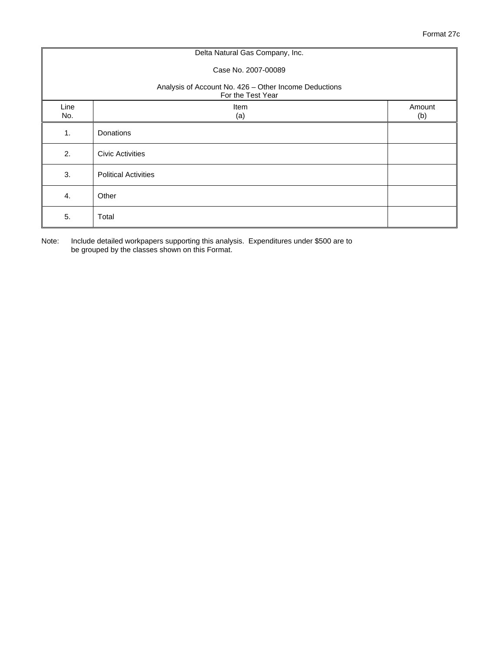|                                                                            | Delta Natural Gas Company, Inc. |               |  |  |  |  |  |  |  |
|----------------------------------------------------------------------------|---------------------------------|---------------|--|--|--|--|--|--|--|
| Case No. 2007-00089                                                        |                                 |               |  |  |  |  |  |  |  |
| Analysis of Account No. 426 - Other Income Deductions<br>For the Test Year |                                 |               |  |  |  |  |  |  |  |
| Line<br>No.                                                                | Item<br>(a)                     | Amount<br>(b) |  |  |  |  |  |  |  |
| 1.                                                                         | Donations                       |               |  |  |  |  |  |  |  |
| 2.                                                                         | <b>Civic Activities</b>         |               |  |  |  |  |  |  |  |
| 3.                                                                         | <b>Political Activities</b>     |               |  |  |  |  |  |  |  |
| 4.                                                                         | Other                           |               |  |  |  |  |  |  |  |
| 5.                                                                         | Total                           |               |  |  |  |  |  |  |  |

Note: Include detailed workpapers supporting this analysis. Expenditures under \$500 are to be grouped by the classes shown on this Format.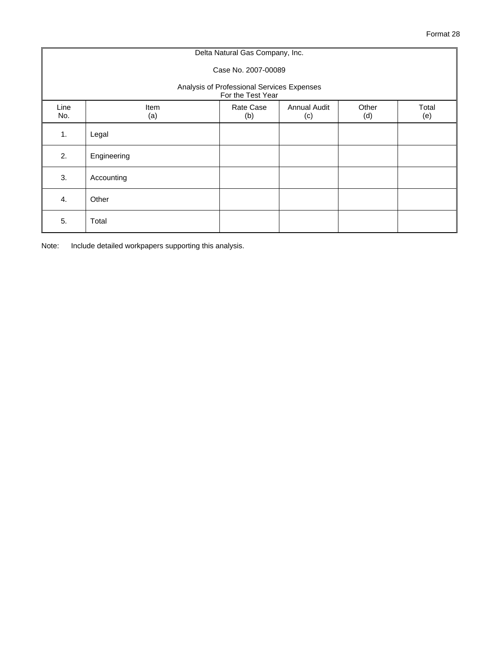|                                                                 | Delta Natural Gas Company, Inc. |                  |                            |              |              |  |  |  |  |  |  |  |
|-----------------------------------------------------------------|---------------------------------|------------------|----------------------------|--------------|--------------|--|--|--|--|--|--|--|
|                                                                 | Case No. 2007-00089             |                  |                            |              |              |  |  |  |  |  |  |  |
| Analysis of Professional Services Expenses<br>For the Test Year |                                 |                  |                            |              |              |  |  |  |  |  |  |  |
| Line<br>No.                                                     | Item<br>(a)                     | Rate Case<br>(b) | <b>Annual Audit</b><br>(c) | Other<br>(d) | Total<br>(e) |  |  |  |  |  |  |  |
| 1.                                                              | Legal                           |                  |                            |              |              |  |  |  |  |  |  |  |
| 2.                                                              | Engineering                     |                  |                            |              |              |  |  |  |  |  |  |  |
| 3.                                                              | Accounting                      |                  |                            |              |              |  |  |  |  |  |  |  |
| 4.                                                              | Other                           |                  |                            |              |              |  |  |  |  |  |  |  |
| 5.                                                              | Total                           |                  |                            |              |              |  |  |  |  |  |  |  |

Note: Include detailed workpapers supporting this analysis.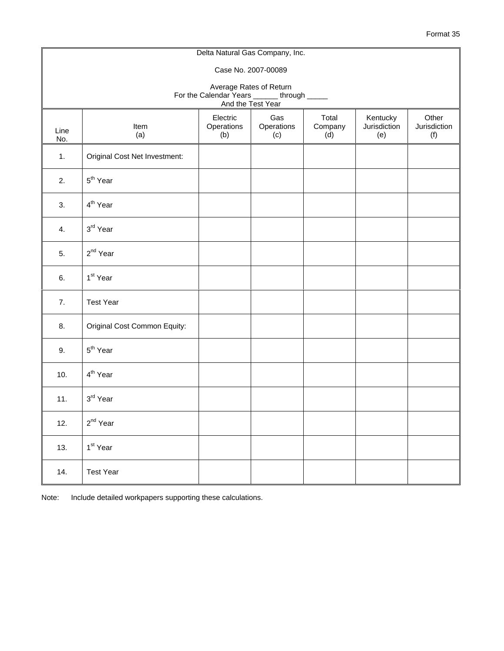|             |                                                                                                                                                                        |  | Delta Natural Gas Company, Inc. |  |  |  |  |  |  |  |  |  |  |
|-------------|------------------------------------------------------------------------------------------------------------------------------------------------------------------------|--|---------------------------------|--|--|--|--|--|--|--|--|--|--|
|             | Case No. 2007-00089                                                                                                                                                    |  |                                 |  |  |  |  |  |  |  |  |  |  |
|             | Average Rates of Return<br>For the Calendar Years ______ through _____<br>And the Test Year                                                                            |  |                                 |  |  |  |  |  |  |  |  |  |  |
| Line<br>No. | Total<br>Electric<br>Gas<br>Kentucky<br>Other<br>Operations<br>Operations<br>Company<br>Jurisdiction<br>Jurisdiction<br>Item<br>(a)<br>(b)<br>(c)<br>(d)<br>(e)<br>(f) |  |                                 |  |  |  |  |  |  |  |  |  |  |
| 1.          | Original Cost Net Investment:                                                                                                                                          |  |                                 |  |  |  |  |  |  |  |  |  |  |
| 2.          | 5 <sup>th</sup> Year                                                                                                                                                   |  |                                 |  |  |  |  |  |  |  |  |  |  |
| 3.          | 4 <sup>th</sup> Year                                                                                                                                                   |  |                                 |  |  |  |  |  |  |  |  |  |  |
| 4.          | 3rd Year                                                                                                                                                               |  |                                 |  |  |  |  |  |  |  |  |  |  |
| 5.          | 2 <sup>nd</sup> Year                                                                                                                                                   |  |                                 |  |  |  |  |  |  |  |  |  |  |
| 6.          | 1 <sup>st</sup> Year                                                                                                                                                   |  |                                 |  |  |  |  |  |  |  |  |  |  |
| 7.          | <b>Test Year</b>                                                                                                                                                       |  |                                 |  |  |  |  |  |  |  |  |  |  |
| 8.          | Original Cost Common Equity:                                                                                                                                           |  |                                 |  |  |  |  |  |  |  |  |  |  |
| 9.          | 5 <sup>th</sup> Year                                                                                                                                                   |  |                                 |  |  |  |  |  |  |  |  |  |  |
| 10.         | 4 <sup>th</sup> Year                                                                                                                                                   |  |                                 |  |  |  |  |  |  |  |  |  |  |
| 11.         | 3rd Year                                                                                                                                                               |  |                                 |  |  |  |  |  |  |  |  |  |  |
| 12.         | $2^{nd}$ Year                                                                                                                                                          |  |                                 |  |  |  |  |  |  |  |  |  |  |
| 13.         | 1 <sup>st</sup> Year                                                                                                                                                   |  |                                 |  |  |  |  |  |  |  |  |  |  |
| 14.         | <b>Test Year</b>                                                                                                                                                       |  |                                 |  |  |  |  |  |  |  |  |  |  |

Note: Include detailed workpapers supporting these calculations.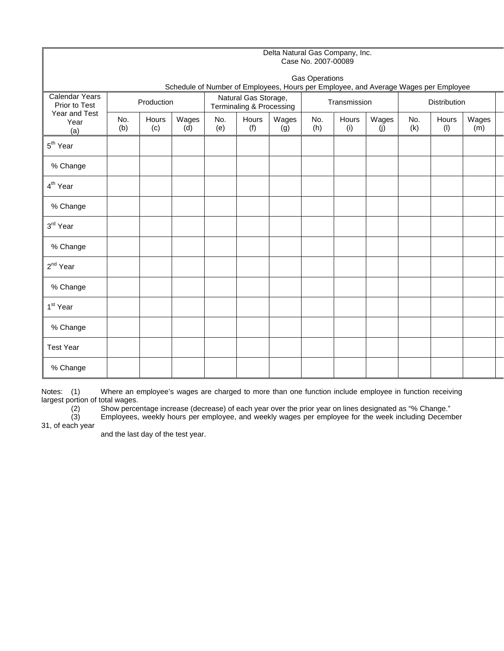|                                                                        |                                                                                     | Delta Natural Gas Company, Inc.<br>Case No. 2007-00089 |              |            |                                                  |              |            |              |              |                     |              |              |  |
|------------------------------------------------------------------------|-------------------------------------------------------------------------------------|--------------------------------------------------------|--------------|------------|--------------------------------------------------|--------------|------------|--------------|--------------|---------------------|--------------|--------------|--|
|                                                                        | <b>Gas Operations</b>                                                               |                                                        |              |            |                                                  |              |            |              |              |                     |              |              |  |
|                                                                        | Schedule of Number of Employees, Hours per Employee, and Average Wages per Employee |                                                        |              |            |                                                  |              |            |              |              |                     |              |              |  |
| <b>Calendar Years</b><br>Prior to Test<br>Year and Test<br>Year<br>(a) | Production                                                                          |                                                        |              |            | Natural Gas Storage,<br>Terminaling & Processing |              |            | Transmission |              | <b>Distribution</b> |              |              |  |
|                                                                        | No.<br>(b)                                                                          | Hours<br>(c)                                           | Wages<br>(d) | No.<br>(e) | Hours<br>(f)                                     | Wages<br>(g) | No.<br>(h) | Hours<br>(i) | Wages<br>(j) | No.<br>(k)          | Hours<br>(1) | Wages<br>(m) |  |
| 5 <sup>th</sup> Year                                                   |                                                                                     |                                                        |              |            |                                                  |              |            |              |              |                     |              |              |  |
| % Change                                                               |                                                                                     |                                                        |              |            |                                                  |              |            |              |              |                     |              |              |  |
| 4 <sup>th</sup> Year                                                   |                                                                                     |                                                        |              |            |                                                  |              |            |              |              |                     |              |              |  |
| % Change                                                               |                                                                                     |                                                        |              |            |                                                  |              |            |              |              |                     |              |              |  |
| 3rd Year                                                               |                                                                                     |                                                        |              |            |                                                  |              |            |              |              |                     |              |              |  |
| % Change                                                               |                                                                                     |                                                        |              |            |                                                  |              |            |              |              |                     |              |              |  |
| 2 <sup>nd</sup> Year                                                   |                                                                                     |                                                        |              |            |                                                  |              |            |              |              |                     |              |              |  |
| % Change                                                               |                                                                                     |                                                        |              |            |                                                  |              |            |              |              |                     |              |              |  |
| 1 <sup>st</sup> Year                                                   |                                                                                     |                                                        |              |            |                                                  |              |            |              |              |                     |              |              |  |
| % Change                                                               |                                                                                     |                                                        |              |            |                                                  |              |            |              |              |                     |              |              |  |
| <b>Test Year</b>                                                       |                                                                                     |                                                        |              |            |                                                  |              |            |              |              |                     |              |              |  |
| % Change                                                               |                                                                                     |                                                        |              |            |                                                  |              |            |              |              |                     |              |              |  |

Notes: (1) Where an employee's wages are charged to more than one function include employee in function receiving largest portion of total wages.

(2) Show percentage increase (decrease) of each year over the prior year on lines designated as "% Change."

(3) Employees, weekly hours per employee, and weekly wages per employee for the week including December  $(2)$ <br> $(3)$ <br>31, of each year

and the last day of the test year.